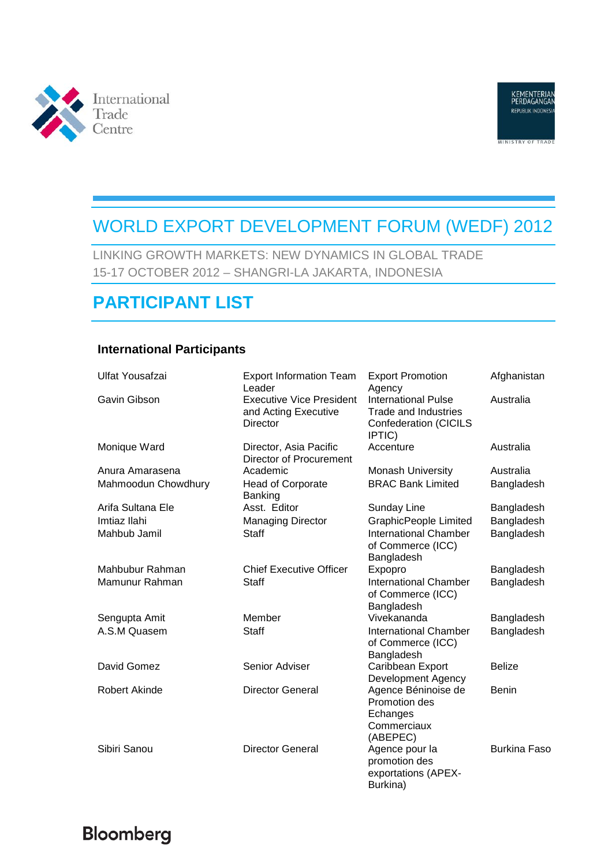



# WORLD EXPORT DEVELOPMENT FORUM (WEDF) 2012

LINKING GROWTH MARKETS: NEW DYNAMICS IN GLOBAL TRADE 15-17 OCTOBER 2012 – SHANGRI-LA JAKARTA, INDONESIA

## **PARTICIPANT LIST**

#### **International Participants**

| Ulfat Yousafzai      | <b>Export Information Team</b><br>Leader                                   | <b>Export Promotion</b><br>Agency                                                                   | Afghanistan         |
|----------------------|----------------------------------------------------------------------------|-----------------------------------------------------------------------------------------------------|---------------------|
| Gavin Gibson         | <b>Executive Vice President</b><br>and Acting Executive<br><b>Director</b> | <b>International Pulse</b><br><b>Trade and Industries</b><br><b>Confederation (CICILS</b><br>IPTIC) | Australia           |
| Monique Ward         | Director, Asia Pacific<br>Director of Procurement                          | Accenture                                                                                           | Australia           |
| Anura Amarasena      | Academic                                                                   | <b>Monash University</b>                                                                            | Australia           |
| Mahmoodun Chowdhury  | <b>Head of Corporate</b><br><b>Banking</b>                                 | <b>BRAC Bank Limited</b>                                                                            | Bangladesh          |
| Arifa Sultana Ele    | Asst. Editor                                                               | Sunday Line                                                                                         | Bangladesh          |
| Imtiaz Ilahi         | <b>Managing Director</b>                                                   | <b>GraphicPeople Limited</b>                                                                        | Bangladesh          |
| Mahbub Jamil         | <b>Staff</b>                                                               | <b>International Chamber</b><br>of Commerce (ICC)<br>Bangladesh                                     | Bangladesh          |
| Mahbubur Rahman      | <b>Chief Executive Officer</b>                                             | Expopro                                                                                             | Bangladesh          |
| Mamunur Rahman       | <b>Staff</b>                                                               | <b>International Chamber</b><br>of Commerce (ICC)<br>Bangladesh                                     | Bangladesh          |
| Sengupta Amit        | Member                                                                     | Vivekananda                                                                                         | Bangladesh          |
| A.S.M Quasem         | Staff                                                                      | <b>International Chamber</b><br>of Commerce (ICC)<br>Bangladesh                                     | Bangladesh          |
| David Gomez          | Senior Adviser                                                             | Caribbean Export<br><b>Development Agency</b>                                                       | <b>Belize</b>       |
| <b>Robert Akinde</b> | <b>Director General</b>                                                    | Agence Béninoise de<br>Promotion des<br>Echanges<br>Commerciaux<br>(ABEPEC)                         | <b>Benin</b>        |
| Sibiri Sanou         | <b>Director General</b>                                                    | Agence pour la<br>promotion des<br>exportations (APEX-<br>Burkina)                                  | <b>Burkina Faso</b> |

# Bloomberg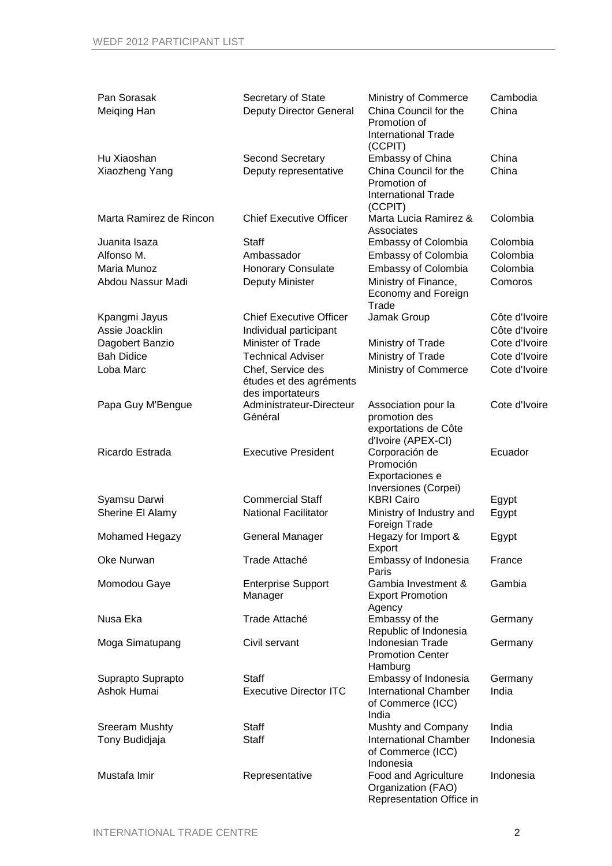| Pan Sorasak<br>Meiging Han    | Secretary of State<br><b>Deputy Director General</b>             | Ministry of Commerce<br>China Council for the<br>Promotion of<br><b>International Trade</b>                          | Cambodia<br>China |
|-------------------------------|------------------------------------------------------------------|----------------------------------------------------------------------------------------------------------------------|-------------------|
| Hu Xiaoshan<br>Xiaozheng Yang | <b>Second Secretary</b><br>Deputy representative                 | (CCPIT)<br><b>Embassy of China</b><br>China Council for the<br>Promotion of<br><b>International Trade</b><br>(CCPIT) | China<br>China    |
| Marta Ramirez de Rincon       | <b>Chief Executive Officer</b>                                   | Marta Lucia Ramirez &<br>Associates                                                                                  | Colombia          |
| Juanita Isaza                 | <b>Staff</b>                                                     | <b>Embassy of Colombia</b>                                                                                           | Colombia          |
| Alfonso M.                    | Ambassador                                                       | <b>Embassy of Colombia</b>                                                                                           | Colombia          |
| Maria Munoz                   | <b>Honorary Consulate</b>                                        | <b>Embassy of Colombia</b>                                                                                           | Colombia          |
| Abdou Nassur Madi             | Deputy Minister                                                  | Ministry of Finance,<br>Economy and Foreign<br>Trade                                                                 | Comoros           |
| Kpangmi Jayus                 | <b>Chief Executive Officer</b>                                   | Jamak Group                                                                                                          | Côte d'Ivoire     |
| Assie Joacklin                | Individual participant                                           |                                                                                                                      | Côte d'Ivoire     |
| Dagobert Banzio               | Minister of Trade                                                | Ministry of Trade                                                                                                    | Cote d'Ivoire     |
| <b>Bah Didice</b>             | <b>Technical Adviser</b>                                         | Ministry of Trade                                                                                                    | Cote d'Ivoire     |
| Loba Marc                     | Chef, Service des<br>études et des agréments<br>des importateurs | Ministry of Commerce                                                                                                 | Cote d'Ivoire     |
| Papa Guy M'Bengue             | Administrateur-Directeur<br>Général                              | Association pour la<br>promotion des<br>exportations de Côte                                                         | Cote d'Ivoire     |
| Ricardo Estrada               | <b>Executive President</b>                                       | d'Ivoire (APEX-CI)<br>Corporación de<br>Promoción<br>Exportaciones e                                                 | Ecuador           |
|                               |                                                                  | Inversiones (Corpei)                                                                                                 |                   |
| Syamsu Darwi                  | <b>Commercial Staff</b>                                          | <b>KBRI Cairo</b>                                                                                                    | Egypt             |
| Sherine El Alamy              | <b>National Facilitator</b>                                      | Ministry of Industry and<br>Foreign Trade                                                                            | Egypt             |
| Mohamed Hegazy                | <b>General Manager</b>                                           | Hegazy for Import &<br>Export                                                                                        | Egypt             |
| Oke Nurwan                    | Trade Attaché                                                    | Embassy of Indonesia<br>Paris                                                                                        | France            |
| Momodou Gaye                  | <b>Enterprise Support</b><br>Manager                             | Gambia Investment &<br><b>Export Promotion</b><br>Agency                                                             | Gambia            |
| Nusa Eka                      | Trade Attaché                                                    | Embassy of the<br>Republic of Indonesia                                                                              | Germany           |
| Moga Simatupang               | Civil servant                                                    | Indonesian Trade<br><b>Promotion Center</b><br>Hamburg                                                               | Germany           |
| Suprapto Suprapto             | <b>Staff</b>                                                     | Embassy of Indonesia                                                                                                 | Germany           |
| Ashok Humai                   | <b>Executive Director ITC</b>                                    | <b>International Chamber</b><br>of Commerce (ICC)<br>India                                                           | India             |
| <b>Sreeram Mushty</b>         | <b>Staff</b>                                                     | Mushty and Company                                                                                                   | India             |
| Tony Budidjaja                | <b>Staff</b>                                                     | <b>International Chamber</b><br>of Commerce (ICC)<br>Indonesia                                                       | Indonesia         |
| Mustafa Imir                  | Representative                                                   | Food and Agriculture<br>Organization (FAO)<br>Representation Office in                                               | Indonesia         |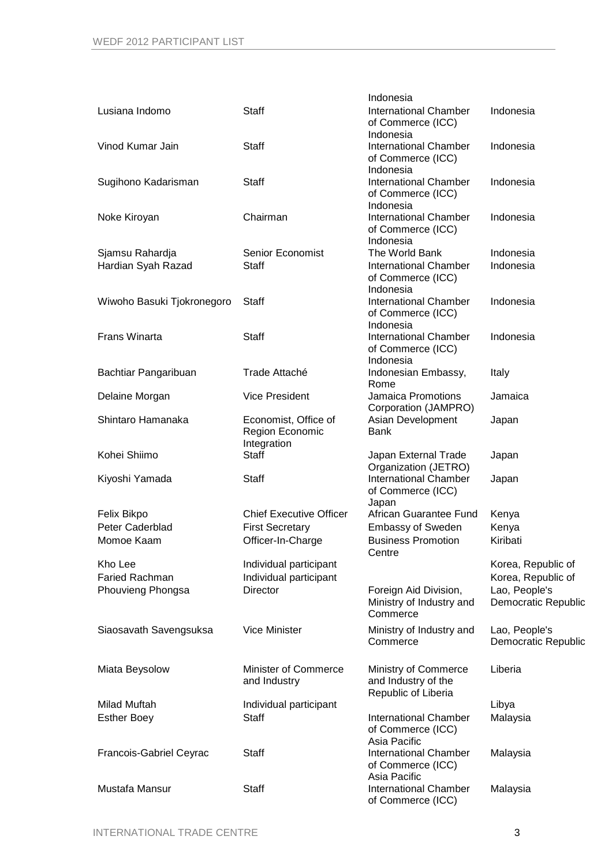|                                |                                                        | Indonesia                                                          |                                      |
|--------------------------------|--------------------------------------------------------|--------------------------------------------------------------------|--------------------------------------|
| Lusiana Indomo                 | <b>Staff</b>                                           | <b>International Chamber</b><br>of Commerce (ICC)<br>Indonesia     | Indonesia                            |
| Vinod Kumar Jain               | <b>Staff</b>                                           | <b>International Chamber</b><br>of Commerce (ICC)<br>Indonesia     | Indonesia                            |
| Sugihono Kadarisman            | Staff                                                  | <b>International Chamber</b><br>of Commerce (ICC)<br>Indonesia     | Indonesia                            |
| Noke Kiroyan                   | Chairman                                               | <b>International Chamber</b><br>of Commerce (ICC)<br>Indonesia     | Indonesia                            |
| Sjamsu Rahardja                | Senior Economist                                       | The World Bank                                                     | Indonesia                            |
| Hardian Syah Razad             | Staff                                                  | <b>International Chamber</b><br>of Commerce (ICC)<br>Indonesia     | Indonesia                            |
| Wiwoho Basuki Tjokronegoro     | <b>Staff</b>                                           | <b>International Chamber</b><br>of Commerce (ICC)<br>Indonesia     | Indonesia                            |
| <b>Frans Winarta</b>           | <b>Staff</b>                                           | <b>International Chamber</b><br>of Commerce (ICC)<br>Indonesia     | Indonesia                            |
| Bachtiar Pangaribuan           | Trade Attaché                                          | Indonesian Embassy,<br>Rome                                        | Italy                                |
| Delaine Morgan                 | <b>Vice President</b>                                  | Jamaica Promotions<br>Corporation (JAMPRO)                         | Jamaica                              |
| Shintaro Hamanaka              | Economist, Office of<br>Region Economic<br>Integration | Asian Development<br><b>Bank</b>                                   | Japan                                |
| Kohei Shiimo                   | <b>Staff</b>                                           | Japan External Trade<br>Organization (JETRO)                       | Japan                                |
| Kiyoshi Yamada                 | Staff                                                  | <b>International Chamber</b><br>of Commerce (ICC)<br>Japan         | Japan                                |
| Felix Bikpo                    | <b>Chief Executive Officer</b>                         | African Guarantee Fund                                             | Kenya                                |
| Peter Caderblad                | <b>First Secretary</b>                                 | <b>Embassy of Sweden</b>                                           | Kenya                                |
| Momoe Kaam                     | Officer-In-Charge                                      | <b>Business Promotion</b><br>Centre                                | Kiribati                             |
| Kho Lee                        | Individual participant                                 |                                                                    | Korea, Republic of                   |
| <b>Faried Rachman</b>          | Individual participant                                 |                                                                    | Korea, Republic of                   |
| Phouvieng Phongsa              | <b>Director</b>                                        | Foreign Aid Division,<br>Ministry of Industry and<br>Commerce      | Lao, People's<br>Democratic Republic |
| Siaosavath Savengsuksa         | <b>Vice Minister</b>                                   | Ministry of Industry and<br>Commerce                               | Lao, People's<br>Democratic Republic |
| Miata Beysolow                 | <b>Minister of Commerce</b><br>and Industry            | Ministry of Commerce<br>and Industry of the<br>Republic of Liberia | Liberia                              |
| Milad Muftah                   | Individual participant                                 |                                                                    | Libya                                |
| <b>Esther Boey</b>             | <b>Staff</b>                                           | <b>International Chamber</b><br>of Commerce (ICC)<br>Asia Pacific  | Malaysia                             |
| <b>Francois-Gabriel Ceyrac</b> | <b>Staff</b>                                           | <b>International Chamber</b><br>of Commerce (ICC)<br>Asia Pacific  | Malaysia                             |
| Mustafa Mansur                 | <b>Staff</b>                                           | <b>International Chamber</b><br>of Commerce (ICC)                  | Malaysia                             |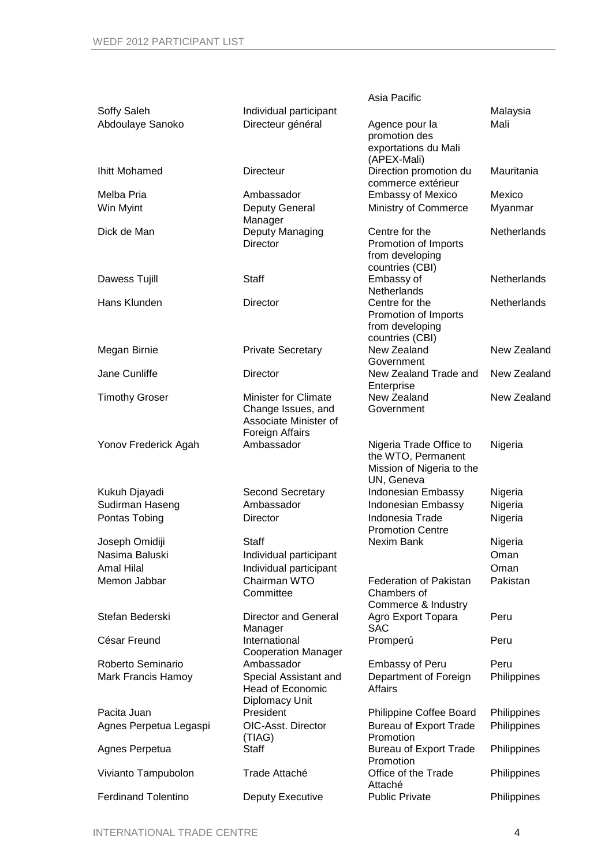|                            |                             | Asia Pacific                                    |                    |
|----------------------------|-----------------------------|-------------------------------------------------|--------------------|
| Soffy Saleh                | Individual participant      |                                                 | Malaysia           |
| Abdoulaye Sanoko           | Directeur général           | Agence pour la<br>promotion des                 | Mali               |
|                            |                             | exportations du Mali                            |                    |
|                            |                             | (APEX-Mali)                                     |                    |
| <b>Ihitt Mohamed</b>       | Directeur                   | Direction promotion du<br>commerce extérieur    | Mauritania         |
| Melba Pria                 | Ambassador                  | <b>Embassy of Mexico</b>                        | Mexico             |
| Win Myint                  | Deputy General              | Ministry of Commerce                            | Myanmar            |
|                            | Manager                     |                                                 |                    |
| Dick de Man                | Deputy Managing             | Centre for the                                  | Netherlands        |
|                            | <b>Director</b>             | Promotion of Imports                            |                    |
|                            |                             | from developing                                 |                    |
|                            |                             | countries (CBI)                                 | Netherlands        |
| Dawess Tujill              | <b>Staff</b>                | Embassy of<br>Netherlands                       |                    |
| Hans Klunden               | Director                    | Centre for the                                  | <b>Netherlands</b> |
|                            |                             | Promotion of Imports                            |                    |
|                            |                             | from developing                                 |                    |
|                            |                             | countries (CBI)                                 |                    |
| Megan Birnie               | <b>Private Secretary</b>    | New Zealand                                     | New Zealand        |
| Jane Cunliffe              |                             | Government                                      |                    |
|                            | Director                    | New Zealand Trade and<br>Enterprise             | New Zealand        |
| <b>Timothy Groser</b>      | <b>Minister for Climate</b> | New Zealand                                     | New Zealand        |
|                            | Change Issues, and          | Government                                      |                    |
|                            | Associate Minister of       |                                                 |                    |
|                            | Foreign Affairs             |                                                 |                    |
| Yonov Frederick Agah       | Ambassador                  | Nigeria Trade Office to                         | Nigeria            |
|                            |                             | the WTO, Permanent<br>Mission of Nigeria to the |                    |
|                            |                             | UN, Geneva                                      |                    |
| Kukuh Djayadi              | <b>Second Secretary</b>     | Indonesian Embassy                              | Nigeria            |
| Sudirman Haseng            | Ambassador                  | Indonesian Embassy                              | Nigeria            |
| Pontas Tobing              | Director                    | Indonesia Trade                                 | Nigeria            |
|                            |                             | <b>Promotion Centre</b>                         |                    |
| Joseph Omidiji             | Staff                       | Nexim Bank                                      | Nigeria            |
| Nasima Baluski             | Individual participant      |                                                 | Oman               |
| Amal Hilal                 | Individual participant      |                                                 | Oman               |
| Memon Jabbar               | Chairman WTO                | <b>Federation of Pakistan</b>                   | Pakistan           |
|                            | Committee                   | Chambers of                                     |                    |
| Stefan Bederski            | Director and General        | Commerce & Industry<br>Agro Export Topara       | Peru               |
|                            | Manager                     | <b>SAC</b>                                      |                    |
| César Freund               | International               | Promperú                                        | Peru               |
|                            | <b>Cooperation Manager</b>  |                                                 |                    |
| Roberto Seminario          | Ambassador                  | <b>Embassy of Peru</b>                          | Peru               |
| Mark Francis Hamoy         | Special Assistant and       | Department of Foreign                           | Philippines        |
|                            | <b>Head of Economic</b>     | Affairs                                         |                    |
| Pacita Juan                | Diplomacy Unit<br>President | Philippine Coffee Board                         | Philippines        |
| Agnes Perpetua Legaspi     | <b>OIC-Asst. Director</b>   | <b>Bureau of Export Trade</b>                   | Philippines        |
|                            | (TIAG)                      | Promotion                                       |                    |
| Agnes Perpetua             | <b>Staff</b>                | <b>Bureau of Export Trade</b>                   | Philippines        |
|                            |                             | Promotion                                       |                    |
| Vivianto Tampubolon        | Trade Attaché               | Office of the Trade                             | Philippines        |
|                            |                             | Attaché                                         |                    |
| <b>Ferdinand Tolentino</b> | Deputy Executive            | <b>Public Private</b>                           | Philippines        |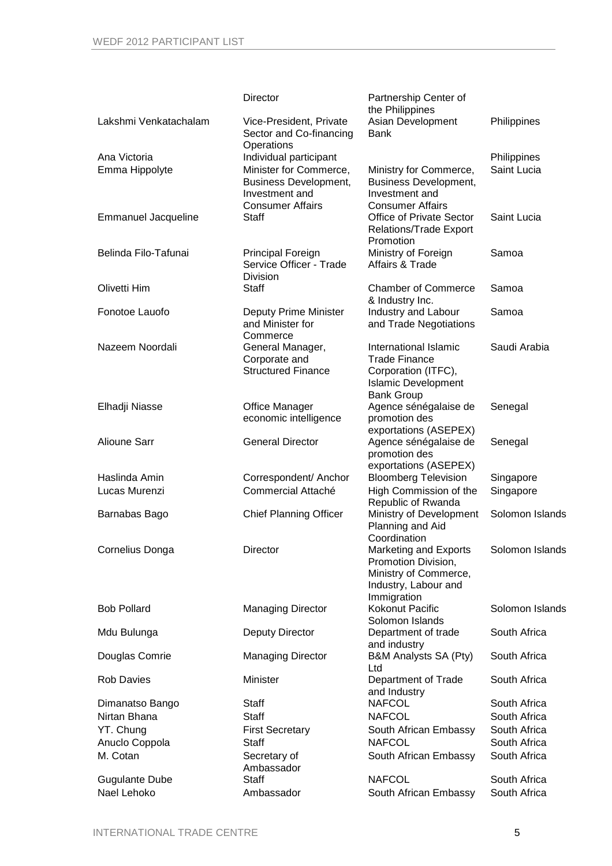|                            | Director                                                                                            | Partnership Center of<br>the Philippines                                                                                |                 |
|----------------------------|-----------------------------------------------------------------------------------------------------|-------------------------------------------------------------------------------------------------------------------------|-----------------|
| Lakshmi Venkatachalam      | Vice-President, Private<br>Sector and Co-financing<br>Operations                                    | Asian Development<br><b>Bank</b>                                                                                        | Philippines     |
| Ana Victoria               | Individual participant                                                                              |                                                                                                                         | Philippines     |
| Emma Hippolyte             | Minister for Commerce,<br><b>Business Development,</b><br>Investment and<br><b>Consumer Affairs</b> | Ministry for Commerce,<br><b>Business Development,</b><br>Investment and<br><b>Consumer Affairs</b>                     | Saint Lucia     |
| <b>Emmanuel Jacqueline</b> | <b>Staff</b>                                                                                        | Office of Private Sector<br><b>Relations/Trade Export</b><br>Promotion                                                  | Saint Lucia     |
| Belinda Filo-Tafunai       | <b>Principal Foreign</b><br>Service Officer - Trade<br><b>Division</b>                              | Ministry of Foreign<br>Affairs & Trade                                                                                  | Samoa           |
| Olivetti Him               | <b>Staff</b>                                                                                        | <b>Chamber of Commerce</b><br>& Industry Inc.                                                                           | Samoa           |
| Fonotoe Lauofo             | Deputy Prime Minister<br>and Minister for<br>Commerce                                               | Industry and Labour<br>and Trade Negotiations                                                                           | Samoa           |
| Nazeem Noordali            | General Manager,<br>Corporate and<br><b>Structured Finance</b>                                      | International Islamic<br><b>Trade Finance</b><br>Corporation (ITFC),<br><b>Islamic Development</b><br><b>Bank Group</b> | Saudi Arabia    |
| Elhadji Niasse             | Office Manager<br>economic intelligence                                                             | Agence sénégalaise de<br>promotion des<br>exportations (ASEPEX)                                                         | Senegal         |
| <b>Alioune Sarr</b>        | <b>General Director</b>                                                                             | Agence sénégalaise de<br>promotion des<br>exportations (ASEPEX)                                                         | Senegal         |
| Haslinda Amin              | Correspondent/ Anchor                                                                               | <b>Bloomberg Television</b>                                                                                             | Singapore       |
| Lucas Murenzi              | Commercial Attaché                                                                                  | High Commission of the<br>Republic of Rwanda                                                                            | Singapore       |
| Barnabas Bago              | <b>Chief Planning Officer</b>                                                                       | Ministry of Development<br>Planning and Aid<br>Coordination                                                             | Solomon Islands |
| Cornelius Donga            | Director                                                                                            | Marketing and Exports<br>Promotion Division,<br>Ministry of Commerce,<br>Industry, Labour and<br>Immigration            | Solomon Islands |
| <b>Bob Pollard</b>         | <b>Managing Director</b>                                                                            | Kokonut Pacific<br>Solomon Islands                                                                                      | Solomon Islands |
| Mdu Bulunga                | <b>Deputy Director</b>                                                                              | Department of trade<br>and industry                                                                                     | South Africa    |
| Douglas Comrie             | <b>Managing Director</b>                                                                            | B&M Analysts SA (Pty)<br>Ltd                                                                                            | South Africa    |
| <b>Rob Davies</b>          | Minister                                                                                            | Department of Trade<br>and Industry                                                                                     | South Africa    |
| Dimanatso Bango            | Staff                                                                                               | <b>NAFCOL</b>                                                                                                           | South Africa    |
| Nirtan Bhana               | <b>Staff</b>                                                                                        | <b>NAFCOL</b>                                                                                                           | South Africa    |
| YT. Chung                  | <b>First Secretary</b>                                                                              | South African Embassy                                                                                                   | South Africa    |
| Anuclo Coppola             | <b>Staff</b>                                                                                        | <b>NAFCOL</b>                                                                                                           | South Africa    |
| M. Cotan                   | Secretary of<br>Ambassador                                                                          | South African Embassy                                                                                                   | South Africa    |
| <b>Gugulante Dube</b>      | <b>Staff</b>                                                                                        | <b>NAFCOL</b>                                                                                                           | South Africa    |
| Nael Lehoko                | Ambassador                                                                                          | South African Embassy                                                                                                   | South Africa    |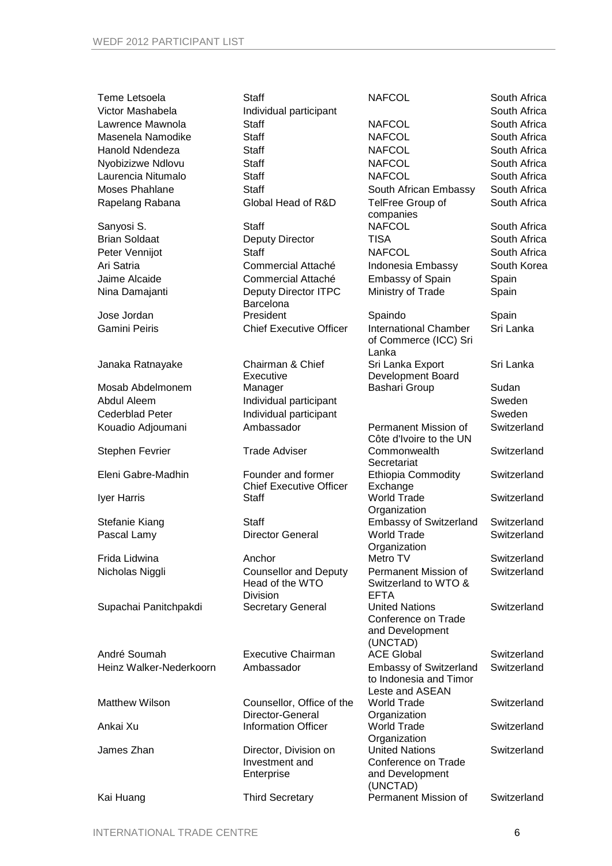| Teme Letsoela           | <b>Staff</b>                                         | <b>NAFCOL</b>                                                  | South Africa |
|-------------------------|------------------------------------------------------|----------------------------------------------------------------|--------------|
| Victor Mashabela        | Individual participant                               |                                                                | South Africa |
| Lawrence Mawnola        | <b>Staff</b>                                         | <b>NAFCOL</b>                                                  | South Africa |
| Masenela Namodike       | <b>Staff</b>                                         | <b>NAFCOL</b>                                                  | South Africa |
| Hanold Ndendeza         | <b>Staff</b>                                         | <b>NAFCOL</b>                                                  | South Africa |
| Nyobizizwe Ndlovu       | <b>Staff</b>                                         | <b>NAFCOL</b>                                                  | South Africa |
| Laurencia Nitumalo      | <b>Staff</b>                                         | <b>NAFCOL</b>                                                  | South Africa |
| <b>Moses Phahlane</b>   | <b>Staff</b>                                         | South African Embassy                                          | South Africa |
| Rapelang Rabana         | Global Head of R&D                                   | TelFree Group of<br>companies                                  | South Africa |
| Sanyosi S.              | <b>Staff</b>                                         | <b>NAFCOL</b>                                                  | South Africa |
| <b>Brian Soldaat</b>    | Deputy Director                                      | TISA                                                           | South Africa |
| Peter Vennijot          | <b>Staff</b>                                         | <b>NAFCOL</b>                                                  | South Africa |
| Ari Satria              | Commercial Attaché                                   | Indonesia Embassy                                              | South Korea  |
| Jaime Alcaide           | Commercial Attaché                                   | <b>Embassy of Spain</b>                                        | Spain        |
| Nina Damajanti          | <b>Deputy Director ITPC</b>                          | Ministry of Trade                                              | Spain        |
|                         | Barcelona                                            |                                                                |              |
| Jose Jordan             | President                                            | Spaindo                                                        | Spain        |
| <b>Gamini Peiris</b>    | <b>Chief Executive Officer</b>                       | <b>International Chamber</b><br>of Commerce (ICC) Sri<br>Lanka | Sri Lanka    |
| Janaka Ratnayake        | Chairman & Chief                                     | Sri Lanka Export                                               | Sri Lanka    |
|                         | Executive                                            | Development Board                                              |              |
| Mosab Abdelmonem        | Manager                                              | Bashari Group                                                  | Sudan        |
| Abdul Aleem             | Individual participant                               |                                                                | Sweden       |
| <b>Cederblad Peter</b>  | Individual participant                               |                                                                | Sweden       |
| Kouadio Adjoumani       | Ambassador                                           | Permanent Mission of<br>Côte d'Ivoire to the UN                | Switzerland  |
| <b>Stephen Fevrier</b>  | <b>Trade Adviser</b>                                 | Commonwealth<br>Secretariat                                    | Switzerland  |
| Eleni Gabre-Madhin      | Founder and former<br><b>Chief Executive Officer</b> | <b>Ethiopia Commodity</b><br>Exchange                          | Switzerland  |
| Iyer Harris             | <b>Staff</b>                                         | <b>World Trade</b><br>Organization                             | Switzerland  |
| Stefanie Kiang          | <b>Staff</b>                                         | <b>Embassy of Switzerland</b>                                  | Switzerland  |
| Pascal Lamy             | <b>Director General</b>                              | <b>World Trade</b>                                             | Switzerland  |
|                         |                                                      | Organization                                                   |              |
| Frida Lidwina           | Anchor                                               | Metro TV                                                       | Switzerland  |
| Nicholas Niggli         | <b>Counsellor and Deputy</b>                         | Permanent Mission of                                           | Switzerland  |
|                         | Head of the WTO<br>Division                          | Switzerland to WTO &<br><b>EFTA</b>                            |              |
| Supachai Panitchpakdi   | <b>Secretary General</b>                             | <b>United Nations</b><br>Conference on Trade                   | Switzerland  |
|                         |                                                      | and Development                                                |              |
|                         |                                                      | (UNCTAD)                                                       |              |
| André Soumah            | <b>Executive Chairman</b>                            | <b>ACE Global</b>                                              | Switzerland  |
| Heinz Walker-Nederkoorn | Ambassador                                           | <b>Embassy of Switzerland</b><br>to Indonesia and Timor        | Switzerland  |
| <b>Matthew Wilson</b>   | Counsellor, Office of the                            | Leste and ASEAN<br><b>World Trade</b>                          | Switzerland  |
|                         | Director-General                                     | Organization                                                   |              |
| Ankai Xu                | <b>Information Officer</b>                           | <b>World Trade</b><br>Organization                             | Switzerland  |
| James Zhan              | Director, Division on                                | <b>United Nations</b>                                          | Switzerland  |
|                         | Investment and                                       | Conference on Trade                                            |              |
|                         | Enterprise                                           | and Development<br>(UNCTAD)                                    |              |
| Kai Huang               | <b>Third Secretary</b>                               | Permanent Mission of                                           | Switzerland  |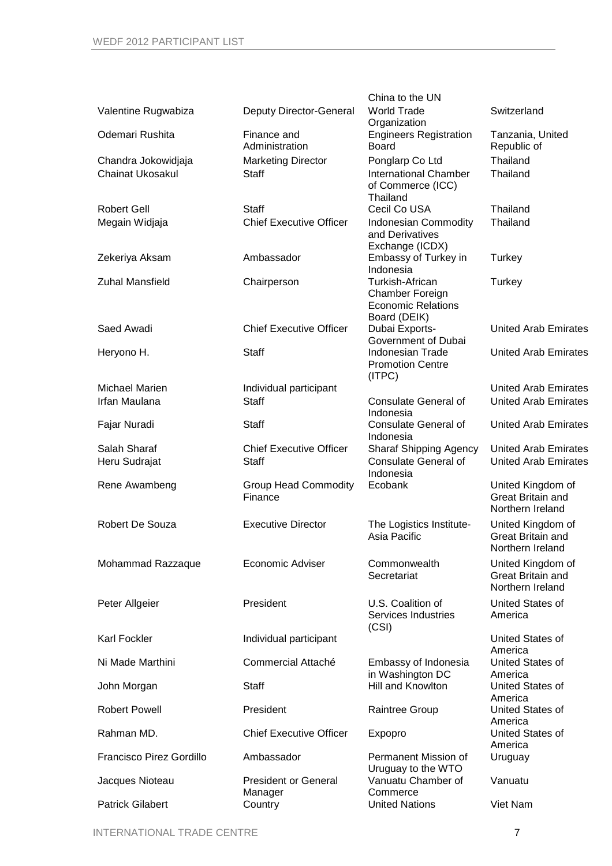|                               |                                                | China to the UN                                                                 |                                                                   |
|-------------------------------|------------------------------------------------|---------------------------------------------------------------------------------|-------------------------------------------------------------------|
| Valentine Rugwabiza           | Deputy Director-General                        | <b>World Trade</b><br>Organization                                              | Switzerland                                                       |
| Odemari Rushita               | Finance and<br>Administration                  | <b>Engineers Registration</b><br><b>Board</b>                                   | Tanzania, United<br>Republic of                                   |
| Chandra Jokowidjaja           | <b>Marketing Director</b>                      | Ponglarp Co Ltd                                                                 | Thailand                                                          |
| <b>Chainat Ukosakul</b>       | <b>Staff</b>                                   | <b>International Chamber</b><br>of Commerce (ICC)<br>Thailand                   | Thailand                                                          |
| <b>Robert Gell</b>            | <b>Staff</b>                                   | Cecil Co USA                                                                    | Thailand                                                          |
| Megain Widjaja                | <b>Chief Executive Officer</b>                 | <b>Indonesian Commodity</b><br>and Derivatives<br>Exchange (ICDX)               | Thailand                                                          |
| Zekeriya Aksam                | Ambassador                                     | Embassy of Turkey in<br>Indonesia                                               | Turkey                                                            |
| <b>Zuhal Mansfield</b>        | Chairperson                                    | Turkish-African<br>Chamber Foreign<br><b>Economic Relations</b><br>Board (DEIK) | Turkey                                                            |
| Saed Awadi                    | <b>Chief Executive Officer</b>                 | Dubai Exports-<br>Government of Dubai                                           | <b>United Arab Emirates</b>                                       |
| Heryono H.                    | <b>Staff</b>                                   | Indonesian Trade<br><b>Promotion Centre</b><br>(ITPC)                           | <b>United Arab Emirates</b>                                       |
| Michael Marien                | Individual participant                         |                                                                                 | <b>United Arab Emirates</b>                                       |
| Irfan Maulana                 | <b>Staff</b>                                   | <b>Consulate General of</b><br>Indonesia                                        | <b>United Arab Emirates</b>                                       |
| Fajar Nuradi                  | <b>Staff</b>                                   | <b>Consulate General of</b><br>Indonesia                                        | <b>United Arab Emirates</b>                                       |
| Salah Sharaf<br>Heru Sudrajat | <b>Chief Executive Officer</b><br><b>Staff</b> | <b>Sharaf Shipping Agency</b><br><b>Consulate General of</b><br>Indonesia       | United Arab Emirates<br><b>United Arab Emirates</b>               |
| Rene Awambeng                 | <b>Group Head Commodity</b><br>Finance         | Ecobank                                                                         | United Kingdom of<br><b>Great Britain and</b><br>Northern Ireland |
| Robert De Souza               | <b>Executive Director</b>                      | The Logistics Institute-<br>Asia Pacific                                        | United Kingdom of<br><b>Great Britain and</b><br>Northern Ireland |
| Mohammad Razzaque             | <b>Economic Adviser</b>                        | Commonwealth<br>Secretariat                                                     | United Kingdom of<br>Great Britain and<br>Northern Ireland        |
| Peter Allgeier                | President                                      | U.S. Coalition of<br>Services Industries<br>(CSI)                               | United States of<br>America                                       |
| Karl Fockler                  | Individual participant                         |                                                                                 | United States of<br>America                                       |
| Ni Made Marthini              | Commercial Attaché                             | Embassy of Indonesia<br>in Washington DC                                        | United States of<br>America                                       |
| John Morgan                   | Staff                                          | Hill and Knowlton                                                               | United States of<br>America                                       |
| <b>Robert Powell</b>          | President                                      | Raintree Group                                                                  | United States of<br>America                                       |
| Rahman MD.                    | <b>Chief Executive Officer</b>                 | Expopro                                                                         | United States of<br>America                                       |
| Francisco Pirez Gordillo      | Ambassador                                     | Permanent Mission of<br>Uruguay to the WTO                                      | Uruguay                                                           |
| Jacques Nioteau               | <b>President or General</b><br>Manager         | Vanuatu Chamber of<br>Commerce                                                  | Vanuatu                                                           |
| <b>Patrick Gilabert</b>       | Country                                        | <b>United Nations</b>                                                           | Viet Nam                                                          |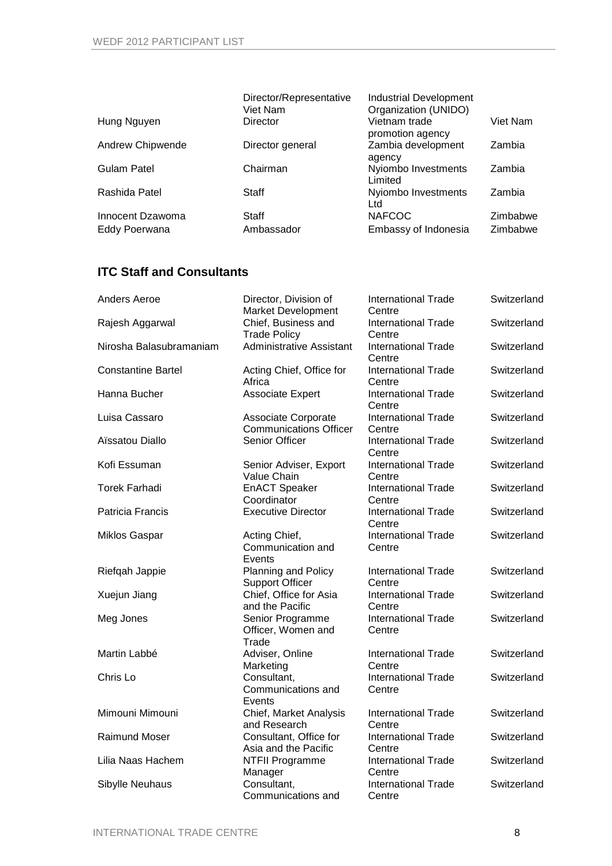|                  | Director/Representative | <b>Industrial Development</b>     |          |
|------------------|-------------------------|-----------------------------------|----------|
|                  | Viet Nam                | Organization (UNIDO)              |          |
| Hung Nguyen      | Director                | Vietnam trade<br>promotion agency | Viet Nam |
| Andrew Chipwende | Director general        | Zambia development<br>agency      | Zambia   |
| Gulam Patel      | Chairman                | Nyiombo Investments<br>Limited    | Zambia   |
| Rashida Patel    | Staff                   | Nyiombo Investments<br>Ltd        | Zambia   |
| Innocent Dzawoma | Staff                   | <b>NAFCOC</b>                     | Zimbabwe |
| Eddy Poerwana    | Ambassador              | Embassy of Indonesia              | Zimbabwe |

### **ITC Staff and Consultants**

| Anders Aeroe              | Director, Division of<br><b>Market Development</b>   | <b>International Trade</b><br>Centre | Switzerland |
|---------------------------|------------------------------------------------------|--------------------------------------|-------------|
| Rajesh Aggarwal           | Chief, Business and                                  | <b>International Trade</b>           | Switzerland |
|                           | <b>Trade Policy</b>                                  | Centre                               |             |
| Nirosha Balasubramaniam   | <b>Administrative Assistant</b>                      | <b>International Trade</b><br>Centre | Switzerland |
| <b>Constantine Bartel</b> | Acting Chief, Office for<br>Africa                   | <b>International Trade</b><br>Centre | Switzerland |
| Hanna Bucher              | <b>Associate Expert</b>                              | <b>International Trade</b><br>Centre | Switzerland |
| Luisa Cassaro             | Associate Corporate<br><b>Communications Officer</b> | <b>International Trade</b><br>Centre | Switzerland |
| Aïssatou Diallo           | Senior Officer                                       | <b>International Trade</b><br>Centre | Switzerland |
| Kofi Essuman              | Senior Adviser, Export<br>Value Chain                | <b>International Trade</b><br>Centre | Switzerland |
| <b>Torek Farhadi</b>      | <b>EnACT Speaker</b><br>Coordinator                  | <b>International Trade</b><br>Centre | Switzerland |
| Patricia Francis          | <b>Executive Director</b>                            | <b>International Trade</b><br>Centre | Switzerland |
| <b>Miklos Gaspar</b>      | Acting Chief,<br>Communication and<br>Events         | <b>International Trade</b><br>Centre | Switzerland |
| Riefqah Jappie            | Planning and Policy<br><b>Support Officer</b>        | <b>International Trade</b><br>Centre | Switzerland |
| Xuejun Jiang              | Chief, Office for Asia<br>and the Pacific            | <b>International Trade</b><br>Centre | Switzerland |
| Meg Jones                 | Senior Programme<br>Officer, Women and<br>Trade      | <b>International Trade</b><br>Centre | Switzerland |
| Martin Labbé              | Adviser, Online<br>Marketing                         | <b>International Trade</b><br>Centre | Switzerland |
| Chris Lo                  | Consultant,<br>Communications and<br>Events          | <b>International Trade</b><br>Centre | Switzerland |
| Mimouni Mimouni           | Chief, Market Analysis<br>and Research               | <b>International Trade</b><br>Centre | Switzerland |
| <b>Raimund Moser</b>      | Consultant, Office for<br>Asia and the Pacific       | International Trade<br>Centre        | Switzerland |
| Lilia Naas Hachem         | <b>NTFII Programme</b><br>Manager                    | <b>International Trade</b><br>Centre | Switzerland |
| Sibylle Neuhaus           | Consultant,<br>Communications and                    | <b>International Trade</b><br>Centre | Switzerland |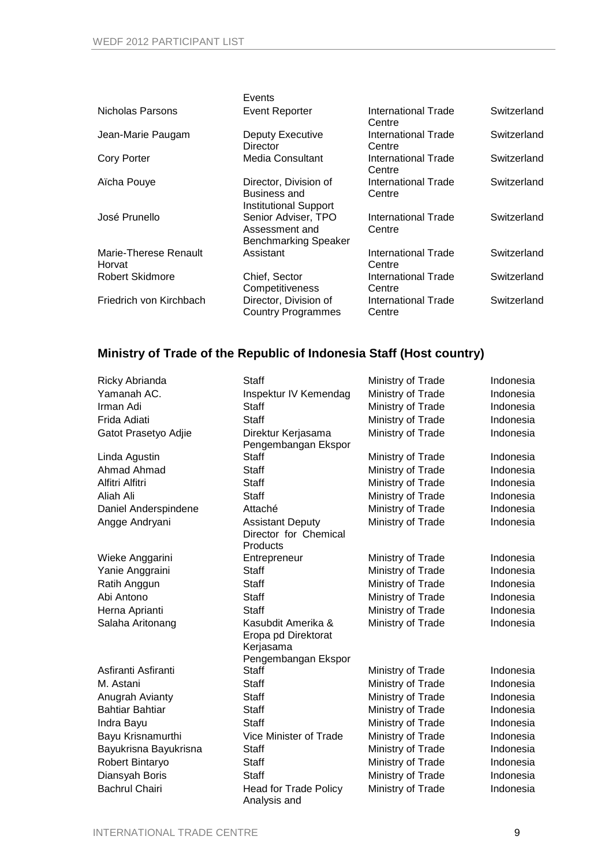|                                 | Events                                                                |                               |             |
|---------------------------------|-----------------------------------------------------------------------|-------------------------------|-------------|
| Nicholas Parsons                | <b>Event Reporter</b>                                                 | International Trade<br>Centre | Switzerland |
| Jean-Marie Paugam               | Deputy Executive<br><b>Director</b>                                   | International Trade<br>Centre | Switzerland |
| <b>Cory Porter</b>              | Media Consultant                                                      | International Trade<br>Centre | Switzerland |
| Aïcha Pouye                     | Director, Division of<br>Business and<br><b>Institutional Support</b> | International Trade<br>Centre | Switzerland |
| José Prunello                   | Senior Adviser, TPO<br>Assessment and<br>Benchmarking Speaker         | International Trade<br>Centre | Switzerland |
| Marie-Therese Renault<br>Horvat | Assistant                                                             | International Trade<br>Centre | Switzerland |
| <b>Robert Skidmore</b>          | Chief, Sector<br>Competitiveness                                      | International Trade<br>Centre | Switzerland |
| Friedrich von Kirchbach         | Director, Division of<br><b>Country Programmes</b>                    | International Trade<br>Centre | Switzerland |

## **Ministry of Trade of the Republic of Indonesia Staff (Host country)**

| Ricky Abrianda         | <b>Staff</b>                                                                  | Ministry of Trade | Indonesia |
|------------------------|-------------------------------------------------------------------------------|-------------------|-----------|
| Yamanah AC.            | Inspektur IV Kemendag                                                         | Ministry of Trade | Indonesia |
| Irman Adi              | <b>Staff</b>                                                                  | Ministry of Trade | Indonesia |
| Frida Adiati           | <b>Staff</b>                                                                  | Ministry of Trade | Indonesia |
| Gatot Prasetyo Adjie   | Direktur Kerjasama<br>Pengembangan Ekspor                                     | Ministry of Trade | Indonesia |
| Linda Agustin          | <b>Staff</b>                                                                  | Ministry of Trade | Indonesia |
| Ahmad Ahmad            | <b>Staff</b>                                                                  | Ministry of Trade | Indonesia |
| Alfitri Alfitri        | <b>Staff</b>                                                                  | Ministry of Trade | Indonesia |
| Aliah Ali              | <b>Staff</b>                                                                  | Ministry of Trade | Indonesia |
| Daniel Anderspindene   | Attaché                                                                       | Ministry of Trade | Indonesia |
| Angge Andryani         | <b>Assistant Deputy</b><br>Director for Chemical<br>Products                  | Ministry of Trade | Indonesia |
| Wieke Anggarini        | Entrepreneur                                                                  | Ministry of Trade | Indonesia |
| Yanie Anggraini        | <b>Staff</b>                                                                  | Ministry of Trade | Indonesia |
| Ratih Anggun           | <b>Staff</b>                                                                  | Ministry of Trade | Indonesia |
| Abi Antono             | <b>Staff</b>                                                                  | Ministry of Trade | Indonesia |
| Herna Aprianti         | Staff                                                                         | Ministry of Trade | Indonesia |
| Salaha Aritonang       | Kasubdit Amerika &<br>Eropa pd Direktorat<br>Kerjasama<br>Pengembangan Ekspor | Ministry of Trade | Indonesia |
| Asfiranti Asfiranti    | Staff                                                                         | Ministry of Trade | Indonesia |
| M. Astani              | <b>Staff</b>                                                                  | Ministry of Trade | Indonesia |
| Anugrah Avianty        | Staff                                                                         | Ministry of Trade | Indonesia |
| <b>Bahtiar Bahtiar</b> | <b>Staff</b>                                                                  | Ministry of Trade | Indonesia |
| Indra Bayu             | <b>Staff</b>                                                                  | Ministry of Trade | Indonesia |
| Bayu Krisnamurthi      | Vice Minister of Trade                                                        | Ministry of Trade | Indonesia |
| Bayukrisna Bayukrisna  | <b>Staff</b>                                                                  | Ministry of Trade | Indonesia |
| Robert Bintaryo        | <b>Staff</b>                                                                  | Ministry of Trade | Indonesia |
| Diansyah Boris         | <b>Staff</b>                                                                  | Ministry of Trade | Indonesia |
| <b>Bachrul Chairi</b>  | <b>Head for Trade Policy</b><br>Analysis and                                  | Ministry of Trade | Indonesia |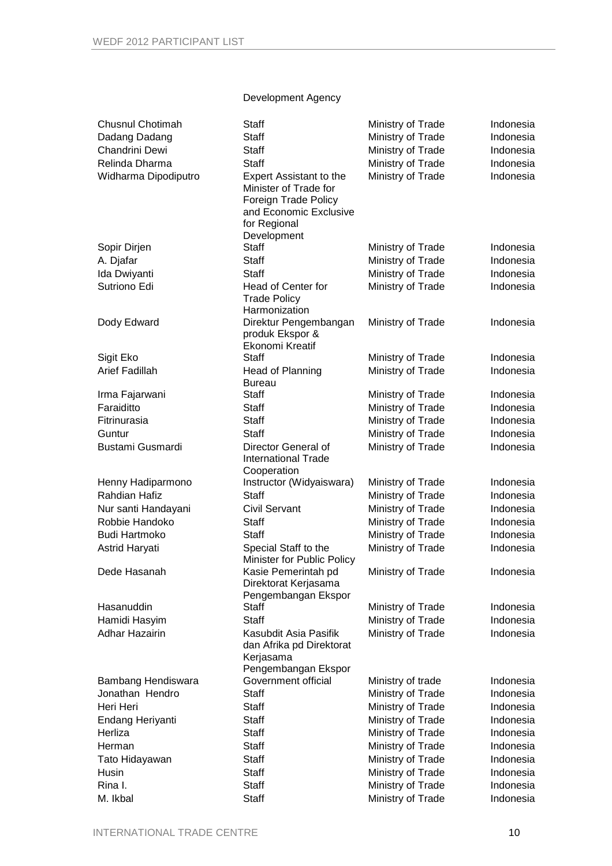### Development Agency

| <b>Chusnul Chotimah</b><br>Dadang Dadang | Staff<br><b>Staff</b>                                                                                                                    | Ministry of Trade<br>Ministry of Trade | Indonesia<br>Indonesia |
|------------------------------------------|------------------------------------------------------------------------------------------------------------------------------------------|----------------------------------------|------------------------|
| Chandrini Dewi                           | <b>Staff</b>                                                                                                                             | Ministry of Trade                      | Indonesia              |
| Relinda Dharma                           | <b>Staff</b>                                                                                                                             | Ministry of Trade                      | Indonesia              |
| Widharma Dipodiputro                     | <b>Expert Assistant to the</b><br>Minister of Trade for<br>Foreign Trade Policy<br>and Economic Exclusive<br>for Regional<br>Development | Ministry of Trade                      | Indonesia              |
| Sopir Dirjen                             | <b>Staff</b>                                                                                                                             | Ministry of Trade                      | Indonesia              |
| A. Djafar                                | <b>Staff</b>                                                                                                                             | Ministry of Trade                      | Indonesia              |
| Ida Dwiyanti                             | <b>Staff</b>                                                                                                                             | Ministry of Trade                      | Indonesia              |
| Sutriono Edi                             | Head of Center for<br><b>Trade Policy</b><br>Harmonization                                                                               | Ministry of Trade                      | Indonesia              |
| Dody Edward                              | Direktur Pengembangan<br>produk Ekspor &<br>Ekonomi Kreatif                                                                              | Ministry of Trade                      | Indonesia              |
| Sigit Eko                                | <b>Staff</b>                                                                                                                             | Ministry of Trade                      | Indonesia              |
| <b>Arief Fadillah</b>                    | Head of Planning<br><b>Bureau</b>                                                                                                        | Ministry of Trade                      | Indonesia              |
| Irma Fajarwani                           | <b>Staff</b>                                                                                                                             | Ministry of Trade                      | Indonesia              |
| Faraiditto                               | <b>Staff</b>                                                                                                                             | Ministry of Trade                      | Indonesia              |
| Fitrinurasia                             | <b>Staff</b>                                                                                                                             | Ministry of Trade                      | Indonesia              |
| Guntur                                   | <b>Staff</b>                                                                                                                             | Ministry of Trade                      | Indonesia              |
| Bustami Gusmardi                         | Director General of<br><b>International Trade</b><br>Cooperation                                                                         | Ministry of Trade                      | Indonesia              |
| Henny Hadiparmono                        | Instructor (Widyaiswara)                                                                                                                 | Ministry of Trade                      | Indonesia              |
| <b>Rahdian Hafiz</b>                     | <b>Staff</b>                                                                                                                             | Ministry of Trade                      | Indonesia              |
| Nur santi Handayani                      | <b>Civil Servant</b>                                                                                                                     | Ministry of Trade                      | Indonesia              |
| Robbie Handoko                           | <b>Staff</b>                                                                                                                             | Ministry of Trade                      | Indonesia              |
| <b>Budi Hartmoko</b>                     | <b>Staff</b>                                                                                                                             | Ministry of Trade                      | Indonesia              |
| Astrid Haryati                           | Special Staff to the<br>Minister for Public Policy                                                                                       | Ministry of Trade                      | Indonesia              |
| Dede Hasanah                             | Kasie Pemerintah pd<br>Direktorat Kerjasama<br>Pengembangan Ekspor                                                                       | Ministry of Trade                      | Indonesia              |
| Hasanuddin                               | <b>Staff</b>                                                                                                                             | Ministry of Trade                      | Indonesia              |
| Hamidi Hasyim                            | <b>Staff</b>                                                                                                                             | Ministry of Trade                      | Indonesia              |
| <b>Adhar Hazairin</b>                    | Kasubdit Asia Pasifik<br>dan Afrika pd Direktorat<br>Kerjasama<br>Pengembangan Ekspor                                                    | Ministry of Trade                      | Indonesia              |
| Bambang Hendiswara                       | Government official                                                                                                                      | Ministry of trade                      | Indonesia              |
| Jonathan Hendro                          | <b>Staff</b>                                                                                                                             | Ministry of Trade                      | Indonesia              |
| Heri Heri                                | <b>Staff</b>                                                                                                                             | Ministry of Trade                      | Indonesia              |
| Endang Heriyanti                         | <b>Staff</b>                                                                                                                             | Ministry of Trade                      | Indonesia              |
| Herliza                                  | <b>Staff</b>                                                                                                                             | Ministry of Trade                      | Indonesia              |
| Herman                                   | <b>Staff</b>                                                                                                                             | Ministry of Trade                      | Indonesia              |
| Tato Hidayawan                           | <b>Staff</b>                                                                                                                             | Ministry of Trade                      | Indonesia              |
| Husin                                    | <b>Staff</b>                                                                                                                             | Ministry of Trade                      | Indonesia              |
| Rina I.                                  | <b>Staff</b>                                                                                                                             | Ministry of Trade                      | Indonesia              |
| M. Ikbal                                 | <b>Staff</b>                                                                                                                             | Ministry of Trade                      | Indonesia              |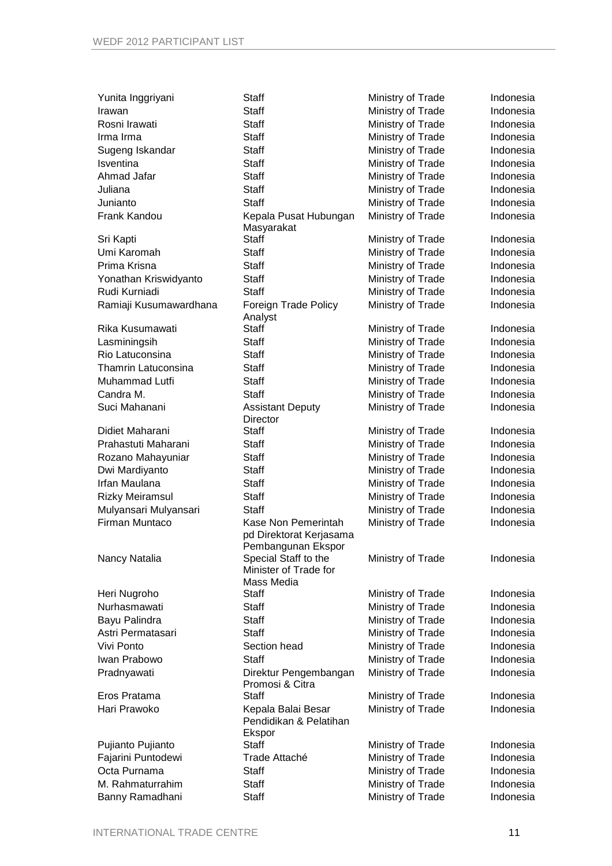| Yunita Inggriyani          | <b>Staff</b>                                 | Ministry of Trade | Indonesia |
|----------------------------|----------------------------------------------|-------------------|-----------|
| Irawan                     | <b>Staff</b>                                 | Ministry of Trade | Indonesia |
| Rosni Irawati              | <b>Staff</b>                                 | Ministry of Trade | Indonesia |
| Irma Irma                  | <b>Staff</b>                                 | Ministry of Trade | Indonesia |
| Sugeng Iskandar            | <b>Staff</b>                                 | Ministry of Trade | Indonesia |
| Isventina                  | <b>Staff</b>                                 | Ministry of Trade | Indonesia |
| Ahmad Jafar                | <b>Staff</b>                                 | Ministry of Trade | Indonesia |
| Juliana                    | <b>Staff</b>                                 | Ministry of Trade | Indonesia |
| Junianto                   | <b>Staff</b>                                 | Ministry of Trade | Indonesia |
| Frank Kandou               | Kepala Pusat Hubungan                        | Ministry of Trade | Indonesia |
|                            | Masyarakat                                   |                   |           |
| Sri Kapti                  | <b>Staff</b>                                 | Ministry of Trade | Indonesia |
| Umi Karomah                | <b>Staff</b>                                 | Ministry of Trade | Indonesia |
| Prima Krisna               | <b>Staff</b>                                 | Ministry of Trade | Indonesia |
| Yonathan Kriswidyanto      | <b>Staff</b>                                 | Ministry of Trade | Indonesia |
| Rudi Kurniadi              | <b>Staff</b>                                 | Ministry of Trade | Indonesia |
| Ramiaji Kusumawardhana     | Foreign Trade Policy<br>Analyst              | Ministry of Trade | Indonesia |
| Rika Kusumawati            | <b>Staff</b>                                 | Ministry of Trade | Indonesia |
| Lasminingsih               | <b>Staff</b>                                 | Ministry of Trade | Indonesia |
| Rio Latuconsina            | <b>Staff</b>                                 | Ministry of Trade | Indonesia |
| <b>Thamrin Latuconsina</b> | <b>Staff</b>                                 | Ministry of Trade | Indonesia |
| Muhammad Lutfi             | <b>Staff</b>                                 | Ministry of Trade | Indonesia |
| Candra M.                  | <b>Staff</b>                                 | Ministry of Trade | Indonesia |
| Suci Mahanani              | <b>Assistant Deputy</b><br>Director          | Ministry of Trade | Indonesia |
| Didiet Maharani            | <b>Staff</b>                                 | Ministry of Trade | Indonesia |
| Prahastuti Maharani        | <b>Staff</b>                                 | Ministry of Trade | Indonesia |
| Rozano Mahayuniar          | Staff                                        | Ministry of Trade | Indonesia |
| Dwi Mardiyanto             | <b>Staff</b>                                 | Ministry of Trade | Indonesia |
| Irfan Maulana              | <b>Staff</b>                                 | Ministry of Trade | Indonesia |
| <b>Rizky Meiramsul</b>     | <b>Staff</b>                                 | Ministry of Trade | Indonesia |
| Mulyansari Mulyansari      | <b>Staff</b>                                 | Ministry of Trade | Indonesia |
| Firman Muntaco             | Kase Non Pemerintah                          | Ministry of Trade | Indonesia |
|                            | pd Direktorat Kerjasama                      |                   |           |
| Nancy Natalia              | Pembangunan Ekspor<br>Special Staff to the   | Ministry of Trade | Indonesia |
|                            | Minister of Trade for                        |                   |           |
|                            | Mass Media                                   |                   |           |
| Heri Nugroho               | <b>Staff</b>                                 | Ministry of Trade | Indonesia |
| Nurhasmawati               | <b>Staff</b>                                 | Ministry of Trade | Indonesia |
| Bayu Palindra              | <b>Staff</b>                                 | Ministry of Trade | Indonesia |
| Astri Permatasari          | <b>Staff</b>                                 | Ministry of Trade | Indonesia |
| Vivi Ponto                 | Section head                                 | Ministry of Trade | Indonesia |
| Iwan Prabowo               | <b>Staff</b>                                 | Ministry of Trade | Indonesia |
| Pradnyawati                | Direktur Pengembangan<br>Promosi & Citra     | Ministry of Trade | Indonesia |
| Eros Pratama               | <b>Staff</b>                                 | Ministry of Trade | Indonesia |
| Hari Prawoko               | Kepala Balai Besar<br>Pendidikan & Pelatihan | Ministry of Trade | Indonesia |
|                            | Ekspor<br><b>Staff</b>                       |                   | Indonesia |
| Pujianto Pujianto          |                                              | Ministry of Trade |           |
| Fajarini Puntodewi         | Trade Attaché                                | Ministry of Trade | Indonesia |
| Octa Purnama               | <b>Staff</b>                                 | Ministry of Trade | Indonesia |
| M. Rahmaturrahim           | <b>Staff</b>                                 | Ministry of Trade | Indonesia |
| Banny Ramadhani            | <b>Staff</b>                                 | Ministry of Trade | Indonesia |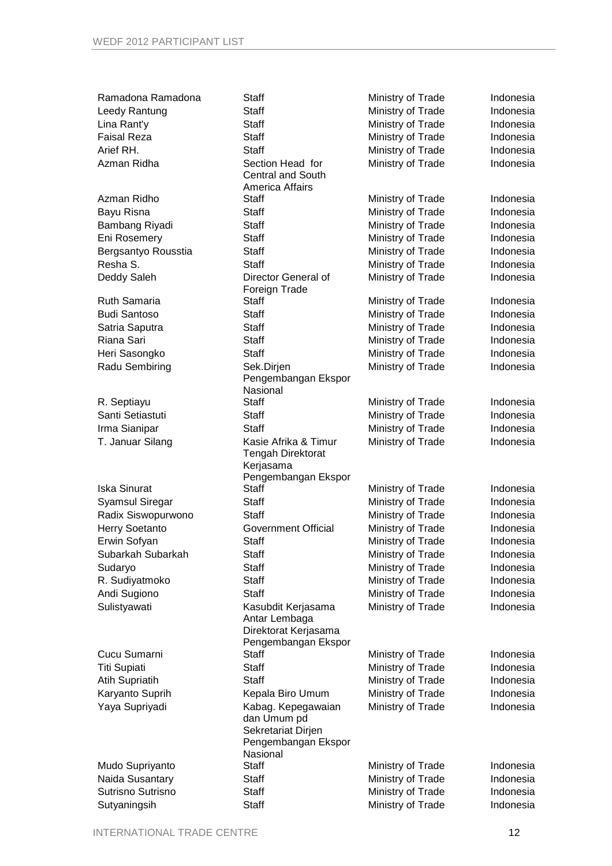| Ramadona Ramadona              | <b>Staff</b>                        | Ministry of Trade                      | Indonesia |
|--------------------------------|-------------------------------------|----------------------------------------|-----------|
| Leedy Rantung                  | <b>Staff</b>                        | Ministry of Trade                      | Indonesia |
| Lina Rant'y                    | <b>Staff</b>                        | Ministry of Trade                      | Indonesia |
| <b>Faisal Reza</b>             | <b>Staff</b>                        | Ministry of Trade                      | Indonesia |
| Arief RH.                      | <b>Staff</b>                        | Ministry of Trade                      | Indonesia |
| Azman Ridha                    | Section Head for                    | Ministry of Trade                      | Indonesia |
|                                | <b>Central and South</b>            |                                        |           |
|                                | America Affairs                     |                                        |           |
| Azman Ridho                    | Staff                               | Ministry of Trade                      | Indonesia |
| Bayu Risna                     | <b>Staff</b>                        | Ministry of Trade                      | Indonesia |
| Bambang Riyadi                 | <b>Staff</b>                        | Ministry of Trade                      | Indonesia |
| Eni Rosemery                   | <b>Staff</b>                        | Ministry of Trade                      | Indonesia |
| Bergsantyo Rousstia            | <b>Staff</b>                        | Ministry of Trade                      | Indonesia |
| Resha S.                       | <b>Staff</b>                        | Ministry of Trade                      | Indonesia |
| Deddy Saleh                    | Director General of                 | Ministry of Trade                      | Indonesia |
|                                | Foreign Trade                       |                                        |           |
| <b>Ruth Samaria</b>            | <b>Staff</b>                        | Ministry of Trade                      | Indonesia |
| <b>Budi Santoso</b>            | <b>Staff</b>                        | Ministry of Trade                      | Indonesia |
| Satria Saputra                 | <b>Staff</b>                        | Ministry of Trade                      | Indonesia |
| Riana Sari                     | <b>Staff</b>                        | Ministry of Trade                      | Indonesia |
| Heri Sasongko                  | <b>Staff</b>                        | Ministry of Trade                      | Indonesia |
| Radu Sembiring                 | Sek.Dirjen                          | Ministry of Trade                      | Indonesia |
|                                | Pengembangan Ekspor                 |                                        |           |
|                                | Nasional                            |                                        |           |
| R. Septiayu                    | Staff                               | Ministry of Trade                      | Indonesia |
| Santi Setiastuti               | <b>Staff</b>                        | Ministry of Trade                      | Indonesia |
| Irma Sianipar                  | <b>Staff</b>                        | Ministry of Trade                      | Indonesia |
| T. Januar Silang               | Kasie Afrika & Timur                | Ministry of Trade                      | Indonesia |
|                                | <b>Tengah Direktorat</b>            |                                        |           |
|                                | Kerjasama                           |                                        |           |
| <b>Iska Sinurat</b>            | Pengembangan Ekspor<br><b>Staff</b> | Ministry of Trade                      | Indonesia |
| <b>Syamsul Siregar</b>         | <b>Staff</b>                        | Ministry of Trade                      | Indonesia |
| Radix Siswopurwono             | <b>Staff</b>                        | Ministry of Trade                      | Indonesia |
| Herry Soetanto                 | Government Official                 | Ministry of Trade                      | Indonesia |
| Erwin Sofyan                   | <b>Staff</b>                        | Ministry of Trade                      | Indonesia |
| Subarkah Subarkah              | <b>Staff</b>                        | Ministry of Trade                      | Indonesia |
|                                | <b>Staff</b>                        |                                        | Indonesia |
| Sudaryo                        | <b>Staff</b>                        | Ministry of Trade<br>Ministry of Trade | Indonesia |
| R. Sudiyatmoko<br>Andi Sugiono | <b>Staff</b>                        | Ministry of Trade                      | Indonesia |
|                                |                                     |                                        |           |
| Sulistyawati                   | Kasubdit Kerjasama<br>Antar Lembaga | Ministry of Trade                      | Indonesia |
|                                | Direktorat Kerjasama                |                                        |           |
|                                | Pengembangan Ekspor                 |                                        |           |
| Cucu Sumarni                   | <b>Staff</b>                        | Ministry of Trade                      | Indonesia |
| <b>Titi Supiati</b>            | <b>Staff</b>                        | Ministry of Trade                      | Indonesia |
| <b>Atih Supriatih</b>          | <b>Staff</b>                        | Ministry of Trade                      | Indonesia |
| Karyanto Suprih                | Kepala Biro Umum                    | Ministry of Trade                      | Indonesia |
| Yaya Supriyadi                 | Kabag. Kepegawaian                  | Ministry of Trade                      | Indonesia |
|                                | dan Umum pd                         |                                        |           |
|                                | Sekretariat Dirjen                  |                                        |           |
|                                | Pengembangan Ekspor                 |                                        |           |
|                                | Nasional                            |                                        |           |
| Mudo Supriyanto                | Staff                               | Ministry of Trade                      | Indonesia |
| Naida Susantary                | Staff                               | Ministry of Trade                      | Indonesia |
| Sutrisno Sutrisno              | <b>Staff</b>                        | Ministry of Trade                      | Indonesia |
| Sutyaningsih                   | <b>Staff</b>                        | Ministry of Trade                      | Indonesia |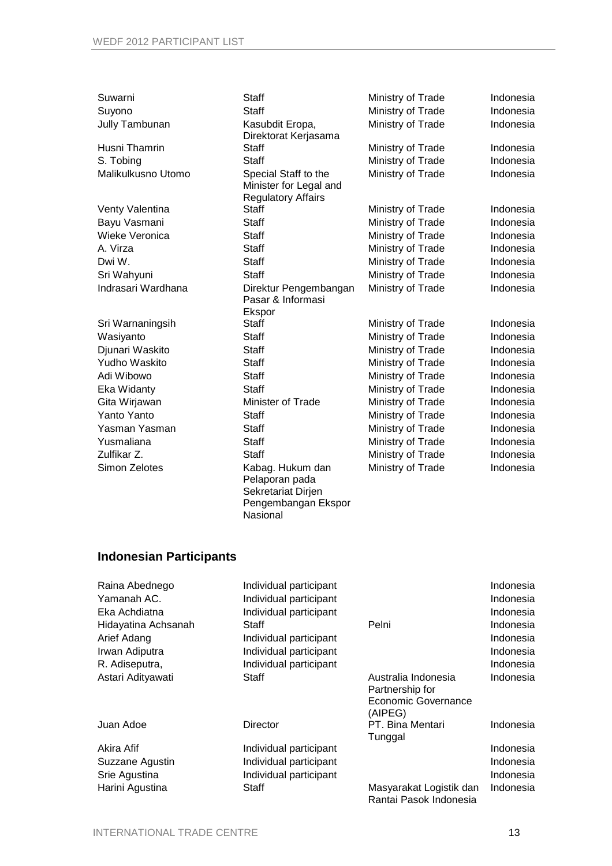| Suwarni              | <b>Staff</b>              | Ministry of Trade | Indonesia |
|----------------------|---------------------------|-------------------|-----------|
| Suyono               | <b>Staff</b>              | Ministry of Trade | Indonesia |
| Jully Tambunan       | Kasubdit Eropa,           | Ministry of Trade | Indonesia |
|                      | Direktorat Kerjasama      |                   |           |
| Husni Thamrin        | <b>Staff</b>              | Ministry of Trade | Indonesia |
| S. Tobing            | Staff                     | Ministry of Trade | Indonesia |
| Malikulkusno Utomo   | Special Staff to the      | Ministry of Trade | Indonesia |
|                      | Minister for Legal and    |                   |           |
|                      | <b>Regulatory Affairs</b> |                   |           |
| Venty Valentina      | <b>Staff</b>              | Ministry of Trade | Indonesia |
| Bayu Vasmani         | <b>Staff</b>              | Ministry of Trade | Indonesia |
| Wieke Veronica       | <b>Staff</b>              | Ministry of Trade | Indonesia |
| A. Virza             | <b>Staff</b>              | Ministry of Trade | Indonesia |
| Dwi W.               | <b>Staff</b>              | Ministry of Trade | Indonesia |
| Sri Wahyuni          | Staff                     | Ministry of Trade | Indonesia |
| Indrasari Wardhana   | Direktur Pengembangan     | Ministry of Trade | Indonesia |
|                      | Pasar & Informasi         |                   |           |
|                      | Ekspor                    |                   |           |
| Sri Warnaningsih     | <b>Staff</b>              | Ministry of Trade | Indonesia |
| Wasiyanto            | <b>Staff</b>              | Ministry of Trade | Indonesia |
| Djunari Waskito      | <b>Staff</b>              | Ministry of Trade | Indonesia |
| <b>Yudho Waskito</b> | Staff                     | Ministry of Trade | Indonesia |
| Adi Wibowo           | <b>Staff</b>              | Ministry of Trade | Indonesia |
| Eka Widanty          | <b>Staff</b>              | Ministry of Trade | Indonesia |
| Gita Wirjawan        | Minister of Trade         | Ministry of Trade | Indonesia |
| Yanto Yanto          | <b>Staff</b>              | Ministry of Trade | Indonesia |
| Yasman Yasman        | <b>Staff</b>              | Ministry of Trade | Indonesia |
| Yusmaliana           | <b>Staff</b>              | Ministry of Trade | Indonesia |
| Zulfikar Z.          | <b>Staff</b>              | Ministry of Trade | Indonesia |
| Simon Zelotes        | Kabag. Hukum dan          | Ministry of Trade | Indonesia |
|                      | Pelaporan pada            |                   |           |
|                      | Sekretariat Dirjen        |                   |           |
|                      | Pengembangan Ekspor       |                   |           |

## **Indonesian Participants**

| Raina Abednego      | Individual participant |                                                                          | Indonesia |
|---------------------|------------------------|--------------------------------------------------------------------------|-----------|
| Yamanah AC.         | Individual participant |                                                                          | Indonesia |
| Eka Achdiatna       | Individual participant |                                                                          | Indonesia |
| Hidayatina Achsanah | Staff                  | Pelni                                                                    | Indonesia |
| Arief Adang         | Individual participant |                                                                          | Indonesia |
| Irwan Adiputra      | Individual participant |                                                                          | Indonesia |
| R. Adiseputra,      | Individual participant |                                                                          | Indonesia |
| Astari Adityawati   | Staff                  | Australia Indonesia<br>Partnership for<br>Economic Governance<br>(AIPEG) | Indonesia |
| Juan Adoe           | Director               | PT. Bina Mentari<br>Tunggal                                              | Indonesia |
| Akira Afif          | Individual participant |                                                                          | Indonesia |
| Suzzane Agustin     | Individual participant |                                                                          | Indonesia |
| Srie Agustina       | Individual participant |                                                                          | Indonesia |
| Harini Agustina     | Staff                  | Masyarakat Logistik dan<br>Rantai Pasok Indonesia                        | Indonesia |

Nasional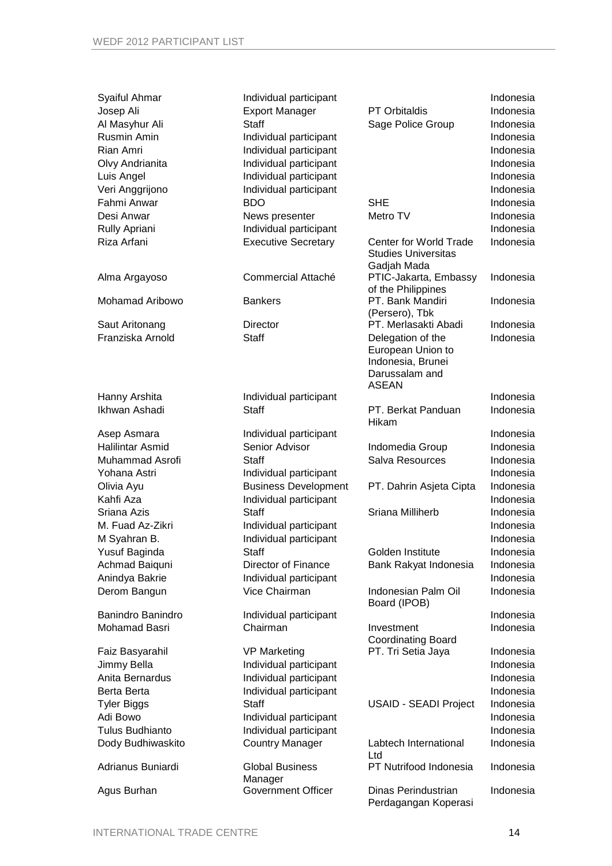| Syaiful Ahmar<br>Josep Ali<br>Al Masyhur Ali<br>Rusmin Amin<br>Rian Amri<br>Olvy Andrianita<br>Luis Angel | Individual participant<br><b>Export Manager</b><br><b>Staff</b><br>Individual participant<br>Individual participant<br>Individual participant<br>Individual participant | <b>PT Orbitaldis</b><br>Sage Police Group                                                     | Indonesia<br>Indonesia<br>Indonesia<br>Indonesia<br>Indonesia<br>Indonesia<br>Indonesia |
|-----------------------------------------------------------------------------------------------------------|-------------------------------------------------------------------------------------------------------------------------------------------------------------------------|-----------------------------------------------------------------------------------------------|-----------------------------------------------------------------------------------------|
| Veri Anggrijono                                                                                           | Individual participant                                                                                                                                                  |                                                                                               | Indonesia                                                                               |
| Fahmi Anwar                                                                                               | <b>BDO</b>                                                                                                                                                              | <b>SHE</b>                                                                                    | Indonesia                                                                               |
| Desi Anwar                                                                                                | News presenter                                                                                                                                                          | Metro TV                                                                                      | Indonesia                                                                               |
| Rully Apriani                                                                                             | Individual participant                                                                                                                                                  |                                                                                               | Indonesia                                                                               |
| Riza Arfani                                                                                               | <b>Executive Secretary</b>                                                                                                                                              | <b>Center for World Trade</b><br><b>Studies Universitas</b><br>Gadjah Mada                    | Indonesia                                                                               |
| Alma Argayoso                                                                                             | Commercial Attaché                                                                                                                                                      | PTIC-Jakarta, Embassy<br>of the Philippines                                                   | Indonesia                                                                               |
| <b>Mohamad Aribowo</b>                                                                                    | <b>Bankers</b>                                                                                                                                                          | PT. Bank Mandiri<br>(Persero), Tbk                                                            | Indonesia                                                                               |
| Saut Aritonang                                                                                            | <b>Director</b>                                                                                                                                                         | PT. Merlasakti Abadi                                                                          | Indonesia                                                                               |
| Franziska Arnold                                                                                          | <b>Staff</b>                                                                                                                                                            | Delegation of the<br>European Union to<br>Indonesia, Brunei<br>Darussalam and<br><b>ASEAN</b> | Indonesia                                                                               |
| Hanny Arshita                                                                                             | Individual participant                                                                                                                                                  |                                                                                               | Indonesia                                                                               |
| Ikhwan Ashadi                                                                                             | Staff                                                                                                                                                                   | PT. Berkat Panduan<br>Hikam                                                                   | Indonesia                                                                               |
| Asep Asmara                                                                                               | Individual participant                                                                                                                                                  |                                                                                               | Indonesia                                                                               |
| <b>Halilintar Asmid</b>                                                                                   | Senior Advisor                                                                                                                                                          | Indomedia Group                                                                               | Indonesia                                                                               |
| Muhammad Asrofi                                                                                           | Staff                                                                                                                                                                   | Salva Resources                                                                               | Indonesia                                                                               |
| Yohana Astri                                                                                              | Individual participant                                                                                                                                                  |                                                                                               | Indonesia                                                                               |
| Olivia Ayu                                                                                                | <b>Business Development</b>                                                                                                                                             | PT. Dahrin Asjeta Cipta                                                                       | Indonesia                                                                               |
| Kahfi Aza                                                                                                 | Individual participant                                                                                                                                                  |                                                                                               | Indonesia                                                                               |
| Sriana Azis                                                                                               | <b>Staff</b>                                                                                                                                                            | Sriana Milliherb                                                                              | Indonesia                                                                               |
| M. Fuad Az-Zikri                                                                                          | Individual participant                                                                                                                                                  |                                                                                               | Indonesia                                                                               |
| M Syahran B.                                                                                              | Individual participant                                                                                                                                                  |                                                                                               | Indonesia                                                                               |
| Yusuf Baginda                                                                                             | Staff                                                                                                                                                                   | Golden Institute                                                                              | Indonesia                                                                               |
| Achmad Baiquni<br>Anindya Bakrie                                                                          | Director of Finance                                                                                                                                                     | Bank Rakyat Indonesia                                                                         | Indonesia<br>Indonesia                                                                  |
| Derom Bangun                                                                                              | Individual participant<br>Vice Chairman                                                                                                                                 | Indonesian Palm Oil<br>Board (IPOB)                                                           | Indonesia                                                                               |
| <b>Banindro Banindro</b>                                                                                  | Individual participant                                                                                                                                                  |                                                                                               | Indonesia                                                                               |
| Mohamad Basri                                                                                             | Chairman                                                                                                                                                                | Investment<br><b>Coordinating Board</b>                                                       | Indonesia                                                                               |
| Faiz Basyarahil                                                                                           | <b>VP Marketing</b>                                                                                                                                                     | PT. Tri Setia Jaya                                                                            | Indonesia                                                                               |
| Jimmy Bella                                                                                               | Individual participant                                                                                                                                                  |                                                                                               | Indonesia                                                                               |
| Anita Bernardus                                                                                           | Individual participant                                                                                                                                                  |                                                                                               | Indonesia                                                                               |
| Berta Berta                                                                                               | Individual participant                                                                                                                                                  |                                                                                               | Indonesia                                                                               |
| <b>Tyler Biggs</b>                                                                                        | <b>Staff</b>                                                                                                                                                            | <b>USAID - SEADI Project</b>                                                                  | Indonesia                                                                               |
| Adi Bowo                                                                                                  | Individual participant                                                                                                                                                  |                                                                                               | Indonesia                                                                               |
| <b>Tulus Budhianto</b>                                                                                    | Individual participant                                                                                                                                                  |                                                                                               | Indonesia                                                                               |
| Dody Budhiwaskito                                                                                         | <b>Country Manager</b>                                                                                                                                                  | Labtech International<br>Ltd                                                                  | Indonesia                                                                               |
| Adrianus Buniardi                                                                                         | <b>Global Business</b><br>Manager                                                                                                                                       | PT Nutrifood Indonesia                                                                        | Indonesia                                                                               |
| Agus Burhan                                                                                               | <b>Government Officer</b>                                                                                                                                               | Dinas Perindustrian<br>Perdagangan Koperasi                                                   | Indonesia                                                                               |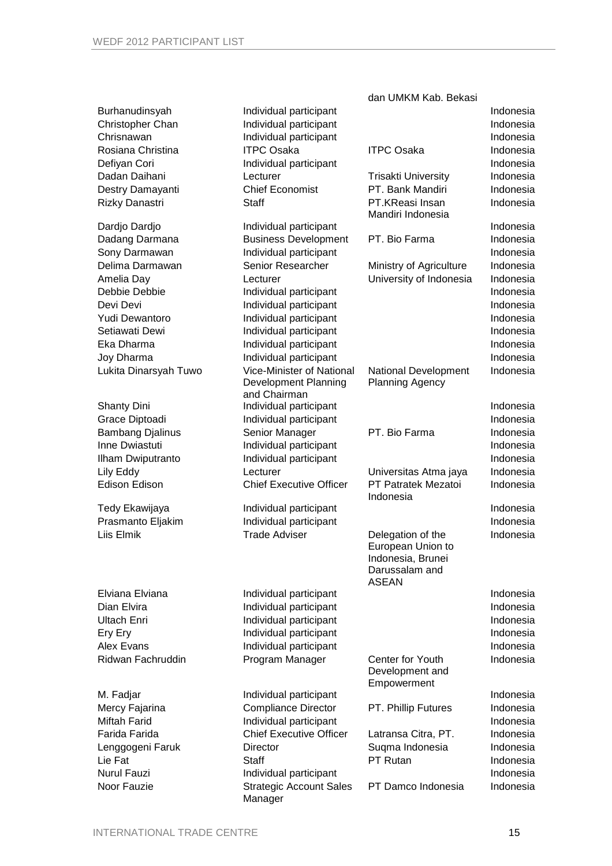|                         |                                           | dan UMKM Kab. Bekasi                                                                          |           |
|-------------------------|-------------------------------------------|-----------------------------------------------------------------------------------------------|-----------|
| Burhanudinsyah          | Individual participant                    |                                                                                               | Indonesia |
| Christopher Chan        | Individual participant                    |                                                                                               | Indonesia |
| Chrisnawan              | Individual participant                    |                                                                                               | Indonesia |
| Rosiana Christina       | <b>ITPC Osaka</b>                         | <b>ITPC Osaka</b>                                                                             | Indonesia |
| Defiyan Cori            | Individual participant                    |                                                                                               | Indonesia |
| Dadan Daihani           | Lecturer                                  | <b>Trisakti University</b>                                                                    | Indonesia |
| Destry Damayanti        | <b>Chief Economist</b>                    | PT. Bank Mandiri                                                                              | Indonesia |
| Rizky Danastri          | <b>Staff</b>                              | PT.KReasi Insan                                                                               | Indonesia |
|                         |                                           | Mandiri Indonesia                                                                             |           |
| Dardjo Dardjo           | Individual participant                    |                                                                                               | Indonesia |
| Dadang Darmana          | <b>Business Development</b>               | PT. Bio Farma                                                                                 | Indonesia |
| Sony Darmawan           | Individual participant                    |                                                                                               | Indonesia |
| Delima Darmawan         | Senior Researcher                         | Ministry of Agriculture                                                                       | Indonesia |
| Amelia Day              | Lecturer                                  | University of Indonesia                                                                       | Indonesia |
| Debbie Debbie           | Individual participant                    |                                                                                               | Indonesia |
| Devi Devi               | Individual participant                    |                                                                                               | Indonesia |
| Yudi Dewantoro          | Individual participant                    |                                                                                               | Indonesia |
| Setiawati Dewi          | Individual participant                    |                                                                                               | Indonesia |
| Eka Dharma              | Individual participant                    |                                                                                               | Indonesia |
| Joy Dharma              | Individual participant                    |                                                                                               | Indonesia |
| Lukita Dinarsyah Tuwo   | Vice-Minister of National                 | National Development                                                                          | Indonesia |
|                         | Development Planning                      | <b>Planning Agency</b>                                                                        |           |
|                         | and Chairman                              |                                                                                               |           |
| <b>Shanty Dini</b>      | Individual participant                    |                                                                                               | Indonesia |
| Grace Diptoadi          | Individual participant                    |                                                                                               | Indonesia |
| <b>Bambang Djalinus</b> | Senior Manager                            | PT. Bio Farma                                                                                 | Indonesia |
| Inne Dwiastuti          | Individual participant                    |                                                                                               | Indonesia |
| Ilham Dwiputranto       | Individual participant                    |                                                                                               | Indonesia |
| Lily Eddy               | Lecturer                                  | Universitas Atma jaya                                                                         | Indonesia |
| <b>Edison Edison</b>    | <b>Chief Executive Officer</b>            | PT Patratek Mezatoi<br>Indonesia                                                              | Indonesia |
| Tedy Ekawijaya          | Individual participant                    |                                                                                               | Indonesia |
| Prasmanto Eljakim       | Individual participant                    |                                                                                               | Indonesia |
| Liis Elmik              | <b>Trade Adviser</b>                      | Delegation of the<br>European Union to<br>Indonesia, Brunei<br>Darussalam and<br><b>ASEAN</b> | Indonesia |
| Elviana Elviana         | Individual participant                    |                                                                                               | Indonesia |
| Dian Elvira             | Individual participant                    |                                                                                               | Indonesia |
| <b>Ultach Enri</b>      | Individual participant                    |                                                                                               | Indonesia |
| Ery Ery                 | Individual participant                    |                                                                                               | Indonesia |
| Alex Evans              | Individual participant                    |                                                                                               | Indonesia |
| Ridwan Fachruddin       | Program Manager                           | Center for Youth                                                                              | Indonesia |
|                         |                                           | Development and<br>Empowerment                                                                |           |
| M. Fadjar               | Individual participant                    |                                                                                               | Indonesia |
| Mercy Fajarina          | <b>Compliance Director</b>                | PT. Phillip Futures                                                                           | Indonesia |
| <b>Miftah Farid</b>     | Individual participant                    |                                                                                               | Indonesia |
| Farida Farida           | <b>Chief Executive Officer</b>            | Latransa Citra, PT.                                                                           | Indonesia |
| Lenggogeni Faruk        | Director                                  | Suqma Indonesia                                                                               | Indonesia |
| Lie Fat                 | <b>Staff</b>                              | PT Rutan                                                                                      | Indonesia |
| <b>Nurul Fauzi</b>      | Individual participant                    |                                                                                               | Indonesia |
| Noor Fauzie             | <b>Strategic Account Sales</b><br>Manager | PT Damco Indonesia                                                                            | Indonesia |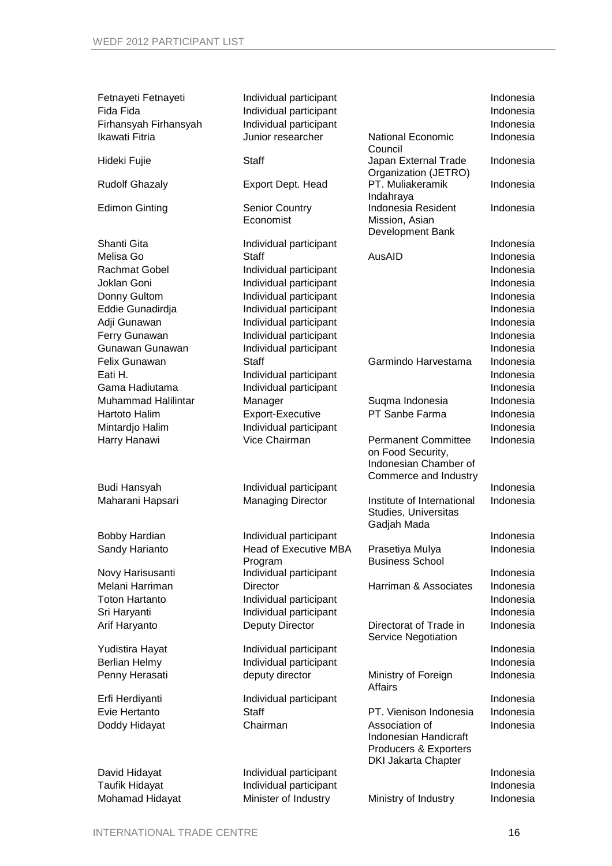| Fetnayeti Fetnayeti<br>Fida Fida<br>Firhansyah Firhansyah<br>Ikawati Fitria | Individual participant<br>Individual participant<br>Individual participant<br>Junior researcher | <b>National Economic</b>                                                                       | Indonesia<br>Indonesia<br>Indonesia<br>Indonesia |
|-----------------------------------------------------------------------------|-------------------------------------------------------------------------------------------------|------------------------------------------------------------------------------------------------|--------------------------------------------------|
| Hideki Fujie                                                                | <b>Staff</b>                                                                                    | Council<br>Japan External Trade                                                                | Indonesia                                        |
| <b>Rudolf Ghazaly</b>                                                       | Export Dept. Head                                                                               | Organization (JETRO)<br>PT. Muliakeramik                                                       | Indonesia                                        |
| <b>Edimon Ginting</b>                                                       | <b>Senior Country</b><br>Economist                                                              | Indahraya<br>Indonesia Resident<br>Mission, Asian<br>Development Bank                          | Indonesia                                        |
| Shanti Gita                                                                 | Individual participant                                                                          |                                                                                                | Indonesia                                        |
| Melisa Go                                                                   | <b>Staff</b>                                                                                    | AusAID                                                                                         | Indonesia                                        |
| <b>Rachmat Gobel</b>                                                        | Individual participant                                                                          |                                                                                                | Indonesia                                        |
| Joklan Goni                                                                 | Individual participant                                                                          |                                                                                                | Indonesia                                        |
| Donny Gultom                                                                | Individual participant                                                                          |                                                                                                | Indonesia                                        |
| Eddie Gunadirdja                                                            | Individual participant                                                                          |                                                                                                | Indonesia                                        |
| Adji Gunawan                                                                | Individual participant                                                                          |                                                                                                | Indonesia                                        |
| Ferry Gunawan                                                               | Individual participant                                                                          |                                                                                                | Indonesia                                        |
| Gunawan Gunawan                                                             | Individual participant                                                                          |                                                                                                | Indonesia                                        |
| Felix Gunawan                                                               | <b>Staff</b>                                                                                    | Garmindo Harvestama                                                                            | Indonesia                                        |
| Eati H.                                                                     | Individual participant                                                                          |                                                                                                | Indonesia                                        |
| Gama Hadiutama                                                              | Individual participant                                                                          |                                                                                                | Indonesia                                        |
| <b>Muhammad Halilintar</b>                                                  | Manager                                                                                         | Suqma Indonesia                                                                                | Indonesia                                        |
| Hartoto Halim                                                               | Export-Executive                                                                                | PT Sanbe Farma                                                                                 | Indonesia                                        |
| Mintardjo Halim                                                             | Individual participant<br>Vice Chairman                                                         | <b>Permanent Committee</b>                                                                     | Indonesia<br>Indonesia                           |
| Harry Hanawi                                                                |                                                                                                 | on Food Security,<br>Indonesian Chamber of<br>Commerce and Industry                            |                                                  |
| Budi Hansyah                                                                | Individual participant                                                                          |                                                                                                | Indonesia                                        |
| Maharani Hapsari                                                            | <b>Managing Director</b>                                                                        | Institute of International<br>Studies, Universitas<br>Gadjah Mada                              | Indonesia                                        |
| <b>Bobby Hardian</b>                                                        | Individual participant                                                                          |                                                                                                | Indonesia                                        |
| Sandy Harianto                                                              | Head of Executive MBA<br>Program                                                                | Prasetiya Mulya<br><b>Business School</b>                                                      | Indonesia                                        |
| Novy Harisusanti                                                            | Individual participant                                                                          |                                                                                                | Indonesia                                        |
| Melani Harriman                                                             | Director                                                                                        | Harriman & Associates                                                                          | Indonesia                                        |
| <b>Toton Hartanto</b>                                                       | Individual participant                                                                          |                                                                                                | Indonesia                                        |
| Sri Haryanti                                                                | Individual participant                                                                          |                                                                                                | Indonesia                                        |
| Arif Haryanto                                                               | <b>Deputy Director</b>                                                                          | Directorat of Trade in<br>Service Negotiation                                                  | Indonesia                                        |
| Yudistira Hayat                                                             | Individual participant                                                                          |                                                                                                | Indonesia                                        |
| <b>Berlian Helmy</b>                                                        | Individual participant                                                                          |                                                                                                | Indonesia                                        |
| Penny Herasati                                                              | deputy director                                                                                 | Ministry of Foreign<br>Affairs                                                                 | Indonesia                                        |
| Erfi Herdiyanti                                                             | Individual participant                                                                          |                                                                                                | Indonesia                                        |
| Evie Hertanto                                                               | <b>Staff</b>                                                                                    | PT. Vienison Indonesia                                                                         | Indonesia                                        |
| Doddy Hidayat                                                               | Chairman                                                                                        | Association of<br>Indonesian Handicraft<br>Producers & Exporters<br><b>DKI Jakarta Chapter</b> | Indonesia                                        |
| David Hidayat                                                               | Individual participant                                                                          |                                                                                                | Indonesia                                        |
| <b>Taufik Hidayat</b>                                                       | Individual participant                                                                          |                                                                                                | Indonesia                                        |
| Mohamad Hidayat                                                             | Minister of Industry                                                                            | Ministry of Industry                                                                           | Indonesia                                        |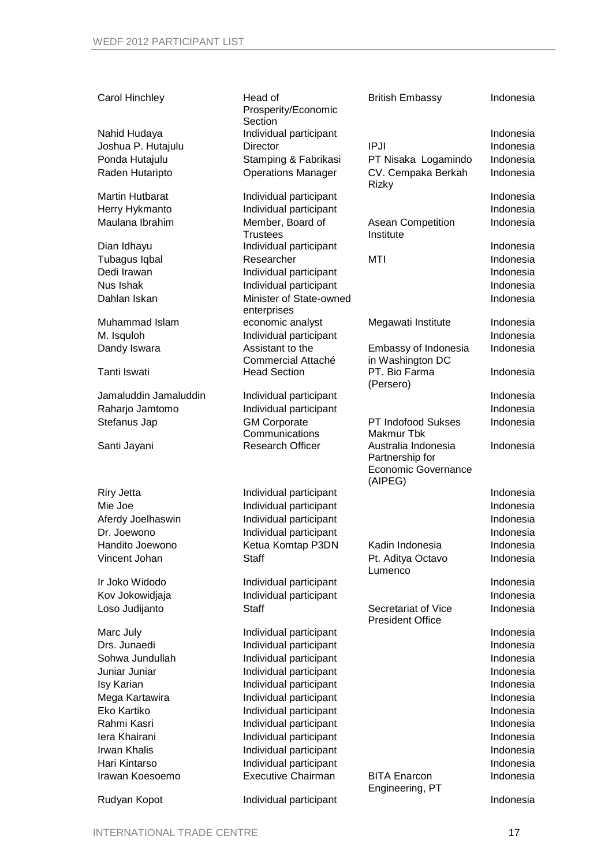#### Carol Hinchley Head of

Sohwa Jundullah Individual participant Indonesia Juniar Juniar Individual participant Indonesia Isy Karian Individual participant Indonesia Mega Kartawira **Individual participant** Indonesia Eko Kartiko Individual participant Indonesia Iera Khairani Individual participant Indonesia Irwan Khalis **Individual participant** Indonesia Indonesia Hari Kintarso Individual participant Indonesia

Individual participant **Individual participant** Indonesia Irawan Koesoemo Executive Chairman BITA Enarcon

|                        | Prosperity/Economic<br>Section         |                                                                                 |           |
|------------------------|----------------------------------------|---------------------------------------------------------------------------------|-----------|
| Nahid Hudaya           | Individual participant                 |                                                                                 | Indonesia |
| Joshua P. Hutajulu     | <b>Director</b>                        | <b>IPJI</b>                                                                     | Indonesia |
| Ponda Hutajulu         | Stamping & Fabrikasi                   | PT Nisaka Logamindo                                                             | Indonesia |
| Raden Hutaripto        | <b>Operations Manager</b>              | CV. Cempaka Berkah<br><b>Rizky</b>                                              | Indonesia |
| <b>Martin Hutbarat</b> | Individual participant                 |                                                                                 | Indonesia |
| Herry Hykmanto         | Individual participant                 |                                                                                 | Indonesia |
| Maulana Ibrahim        | Member, Board of<br><b>Trustees</b>    | <b>Asean Competition</b><br>Institute                                           | Indonesia |
| Dian Idhayu            | Individual participant                 |                                                                                 | Indonesia |
| Tubagus Iqbal          | Researcher                             | MTI                                                                             | Indonesia |
| Dedi Irawan            | Individual participant                 |                                                                                 | Indonesia |
| Nus Ishak              | Individual participant                 |                                                                                 | Indonesia |
| Dahlan Iskan           | Minister of State-owned<br>enterprises |                                                                                 | Indonesia |
| Muhammad Islam         | economic analyst                       | Megawati Institute                                                              | Indonesia |
| M. Isquloh             | Individual participant                 |                                                                                 | Indonesia |
| Dandy Iswara           | Assistant to the<br>Commercial Attaché | Embassy of Indonesia<br>in Washington DC                                        | Indonesia |
| Tanti Iswati           | <b>Head Section</b>                    | PT. Bio Farma<br>(Persero)                                                      | Indonesia |
| Jamaluddin Jamaluddin  | Individual participant                 |                                                                                 | Indonesia |
| Raharjo Jamtomo        | Individual participant                 |                                                                                 | Indonesia |
| Stefanus Jap           | <b>GM Corporate</b><br>Communications  | <b>PT Indofood Sukses</b><br>Makmur Tbk                                         | Indonesia |
| Santi Jayani           | <b>Research Officer</b>                | Australia Indonesia<br>Partnership for<br><b>Economic Governance</b><br>(AIPEG) | Indonesia |
| <b>Riry Jetta</b>      | Individual participant                 |                                                                                 | Indonesia |
| Mie Joe                | Individual participant                 |                                                                                 | Indonesia |
| Aferdy Joelhaswin      | Individual participant                 |                                                                                 | Indonesia |
| Dr. Joewono            | Individual participant                 |                                                                                 | Indonesia |
| Handito Joewono        | Ketua Komtap P3DN                      | Kadin Indonesia                                                                 | Indonesia |
| Vincent Johan          | <b>Staff</b>                           | Pt. Aditya Octavo<br>Lumenco                                                    | Indonesia |
| Ir Joko Widodo         | Individual participant                 |                                                                                 | Indonesia |
| Kov Jokowidjaja        | Individual participant                 |                                                                                 | Indonesia |
| Loso Judijanto         | <b>Staff</b>                           | Secretariat of Vice<br><b>President Office</b>                                  | Indonesia |
| Marc July              | Individual participant                 |                                                                                 | Indonesia |
| Drs. Junaedi           | Individual participant                 |                                                                                 | Indonesia |

British Embassy **Indonesia** 

Indonesia

Engineering, PT

#### Rudyan Kopot **Individual participant** Indonesia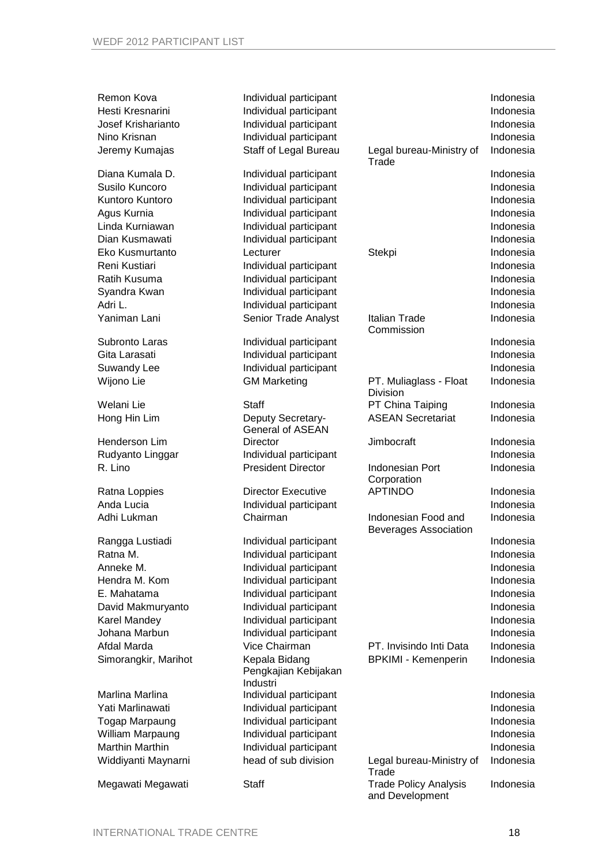| Remon Kova<br>Hesti Kresnarini<br>Josef Krisharianto<br>Nino Krisnan<br>Jeremy Kumajas | Individual participant<br>Individual participant<br>Individual participant<br>Individual participant<br>Staff of Legal Bureau | Legal bureau-Ministry of<br>Trade                   | Indonesia<br>Indonesia<br>Indonesia<br>Indonesia<br>Indonesia |
|----------------------------------------------------------------------------------------|-------------------------------------------------------------------------------------------------------------------------------|-----------------------------------------------------|---------------------------------------------------------------|
| Diana Kumala D.                                                                        | Individual participant                                                                                                        |                                                     | Indonesia                                                     |
| Susilo Kuncoro                                                                         | Individual participant                                                                                                        |                                                     | Indonesia                                                     |
| Kuntoro Kuntoro                                                                        | Individual participant                                                                                                        |                                                     | Indonesia                                                     |
| Agus Kurnia                                                                            | Individual participant                                                                                                        |                                                     | Indonesia                                                     |
| Linda Kurniawan                                                                        | Individual participant                                                                                                        |                                                     | Indonesia                                                     |
| Dian Kusmawati                                                                         | Individual participant                                                                                                        |                                                     | Indonesia                                                     |
| Eko Kusmurtanto                                                                        | Lecturer                                                                                                                      | Stekpi                                              | Indonesia                                                     |
| Reni Kustiari                                                                          | Individual participant                                                                                                        |                                                     | Indonesia                                                     |
| Ratih Kusuma                                                                           | Individual participant                                                                                                        |                                                     | Indonesia                                                     |
| Syandra Kwan                                                                           | Individual participant                                                                                                        |                                                     | Indonesia                                                     |
| Adri L.                                                                                | Individual participant                                                                                                        |                                                     | Indonesia                                                     |
| Yaniman Lani                                                                           | Senior Trade Analyst                                                                                                          | Italian Trade<br>Commission                         | Indonesia                                                     |
| Subronto Laras                                                                         | Individual participant                                                                                                        |                                                     | Indonesia                                                     |
| Gita Larasati                                                                          | Individual participant                                                                                                        |                                                     | Indonesia                                                     |
| Suwandy Lee                                                                            | Individual participant                                                                                                        |                                                     | Indonesia                                                     |
| Wijono Lie                                                                             | <b>GM Marketing</b>                                                                                                           | PT. Muliaglass - Float<br>Division                  | Indonesia                                                     |
| Welani Lie                                                                             | Staff                                                                                                                         | PT China Taiping                                    | Indonesia                                                     |
| Hong Hin Lim                                                                           | Deputy Secretary-<br><b>General of ASEAN</b>                                                                                  | <b>ASEAN Secretariat</b>                            | Indonesia                                                     |
| Henderson Lim                                                                          | Director                                                                                                                      | Jimbocraft                                          | Indonesia                                                     |
| Rudyanto Linggar                                                                       | Individual participant                                                                                                        |                                                     | Indonesia                                                     |
| R. Lino                                                                                | <b>President Director</b>                                                                                                     | <b>Indonesian Port</b><br>Corporation               | Indonesia                                                     |
| Ratna Loppies                                                                          | <b>Director Executive</b>                                                                                                     | <b>APTINDO</b>                                      | Indonesia                                                     |
| Anda Lucia                                                                             | Individual participant                                                                                                        |                                                     | Indonesia                                                     |
| Adhi Lukman                                                                            | Chairman                                                                                                                      | Indonesian Food and<br><b>Beverages Association</b> | Indonesia                                                     |
| Rangga Lustiadi                                                                        | Individual participant                                                                                                        |                                                     | Indonesia                                                     |
| Ratna M.                                                                               | Individual participant                                                                                                        |                                                     | Indonesia                                                     |
| Anneke M.                                                                              | Individual participant                                                                                                        |                                                     | Indonesia                                                     |
| Hendra M. Kom                                                                          | Individual participant                                                                                                        |                                                     | Indonesia                                                     |
| E. Mahatama                                                                            | Individual participant                                                                                                        |                                                     | Indonesia                                                     |
| David Makmuryanto                                                                      | Individual participant                                                                                                        |                                                     | Indonesia                                                     |
| <b>Karel Mandey</b>                                                                    | Individual participant                                                                                                        |                                                     | Indonesia                                                     |
| Johana Marbun                                                                          | Individual participant                                                                                                        |                                                     | Indonesia                                                     |
| Afdal Marda                                                                            | Vice Chairman                                                                                                                 | PT. Invisindo Inti Data                             | Indonesia                                                     |
| Simorangkir, Marihot                                                                   | Kepala Bidang<br>Pengkajian Kebijakan<br>Industri                                                                             | <b>BPKIMI - Kemenperin</b>                          | Indonesia                                                     |
| Marlina Marlina                                                                        | Individual participant                                                                                                        |                                                     | Indonesia                                                     |
| Yati Marlinawati                                                                       | Individual participant                                                                                                        |                                                     | Indonesia                                                     |
| Togap Marpaung                                                                         | Individual participant                                                                                                        |                                                     | Indonesia                                                     |
| William Marpaung                                                                       | Individual participant                                                                                                        |                                                     | Indonesia                                                     |
| <b>Marthin Marthin</b>                                                                 | Individual participant                                                                                                        |                                                     | Indonesia                                                     |
| Widdiyanti Maynarni                                                                    | head of sub division                                                                                                          | Legal bureau-Ministry of<br>Trade                   | Indonesia                                                     |
| Megawati Megawati                                                                      | Staff                                                                                                                         | <b>Trade Policy Analysis</b><br>and Development     | Indonesia                                                     |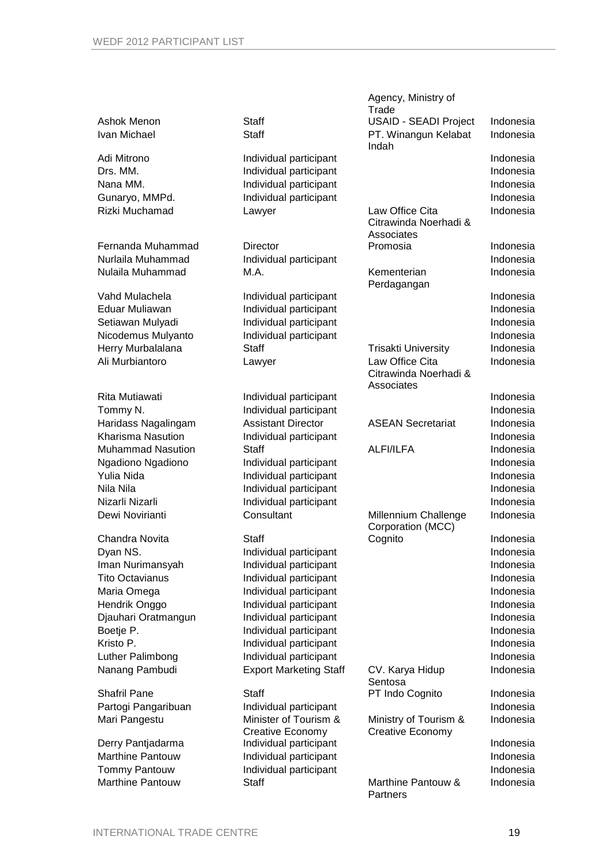|                                            |                                                  | Agency, Ministry of          |                        |
|--------------------------------------------|--------------------------------------------------|------------------------------|------------------------|
|                                            |                                                  | Trade                        |                        |
| Ashok Menon                                | <b>Staff</b>                                     | <b>USAID - SEADI Project</b> | Indonesia              |
| Ivan Michael                               | <b>Staff</b>                                     | PT. Winangun Kelabat         | Indonesia              |
|                                            |                                                  | Indah                        |                        |
| Adi Mitrono                                | Individual participant                           |                              | Indonesia              |
| Drs. MM.                                   | Individual participant                           |                              | Indonesia              |
| Nana MM.                                   | Individual participant                           |                              | Indonesia              |
| Gunaryo, MMPd.                             | Individual participant                           |                              | Indonesia              |
| Rizki Muchamad                             | Lawyer                                           | Law Office Cita              | Indonesia              |
|                                            |                                                  | Citrawinda Noerhadi &        |                        |
|                                            |                                                  | Associates                   |                        |
| Fernanda Muhammad                          | <b>Director</b>                                  | Promosia                     | Indonesia              |
| Nurlaila Muhammad                          | Individual participant                           |                              | Indonesia              |
| Nulaila Muhammad                           | M.A.                                             | Kementerian                  | Indonesia              |
|                                            |                                                  | Perdagangan                  |                        |
| Vahd Mulachela                             | Individual participant                           |                              | Indonesia              |
| Eduar Muliawan                             | Individual participant                           |                              | Indonesia              |
| Setiawan Mulyadi                           | Individual participant                           |                              | Indonesia              |
| Nicodemus Mulyanto                         | Individual participant                           |                              | Indonesia              |
| Herry Murbalalana                          | <b>Staff</b>                                     | <b>Trisakti University</b>   | Indonesia              |
| Ali Murbiantoro                            | Lawyer                                           | Law Office Cita              | Indonesia              |
|                                            |                                                  | Citrawinda Noerhadi &        |                        |
| Rita Mutiawati                             |                                                  | Associates                   | Indonesia              |
|                                            | Individual participant                           |                              | Indonesia              |
| Tommy N.                                   | Individual participant                           |                              |                        |
| Haridass Nagalingam                        | <b>Assistant Director</b>                        | <b>ASEAN Secretariat</b>     | Indonesia              |
| Kharisma Nasution                          | Individual participant                           |                              | Indonesia              |
| <b>Muhammad Nasution</b>                   | <b>Staff</b>                                     | <b>ALFI/ILFA</b>             | Indonesia              |
| Ngadiono Ngadiono                          | Individual participant                           |                              | Indonesia              |
| Yulia Nida                                 | Individual participant                           |                              | Indonesia              |
| Nila Nila                                  | Individual participant                           |                              | Indonesia              |
| Nizarli Nizarli                            | Individual participant                           |                              | Indonesia              |
| Dewi Novirianti                            | Consultant                                       | Millennium Challenge         | Indonesia              |
| Chandra Novita                             | <b>Staff</b>                                     | Corporation (MCC)<br>Cognito | Indonesia              |
| Dyan NS.                                   | Individual participant                           |                              | Indonesia              |
|                                            |                                                  |                              |                        |
| Iman Nurimansyah<br><b>Tito Octavianus</b> | Individual participant<br>Individual participant |                              | Indonesia<br>Indonesia |
| Maria Omega                                |                                                  |                              | Indonesia              |
|                                            | Individual participant                           |                              |                        |
| Hendrik Onggo                              | Individual participant                           |                              | Indonesia              |
| Djauhari Oratmangun                        | Individual participant                           |                              | Indonesia              |
| Boetje P.                                  | Individual participant                           |                              | Indonesia              |
| Kristo P.                                  | Individual participant                           |                              | Indonesia              |
| Luther Palimbong                           | Individual participant                           |                              | Indonesia              |
| Nanang Pambudi                             | <b>Export Marketing Staff</b>                    | CV. Karya Hidup              | Indonesia              |
| <b>Shafril Pane</b>                        | <b>Staff</b>                                     | Sentosa<br>PT Indo Cognito   | Indonesia              |
| Partogi Pangaribuan                        | Individual participant                           |                              | Indonesia              |
|                                            | Minister of Tourism &                            | Ministry of Tourism &        | Indonesia              |
| Mari Pangestu                              | Creative Economy                                 | Creative Economy             |                        |
| Derry Pantjadarma                          | Individual participant                           |                              | Indonesia              |
| <b>Marthine Pantouw</b>                    | Individual participant                           |                              | Indonesia              |
| <b>Tommy Pantouw</b>                       | Individual participant                           |                              | Indonesia              |
| Marthine Pantouw                           | <b>Staff</b>                                     | Marthine Pantouw &           | Indonesia              |
|                                            |                                                  | Partners                     |                        |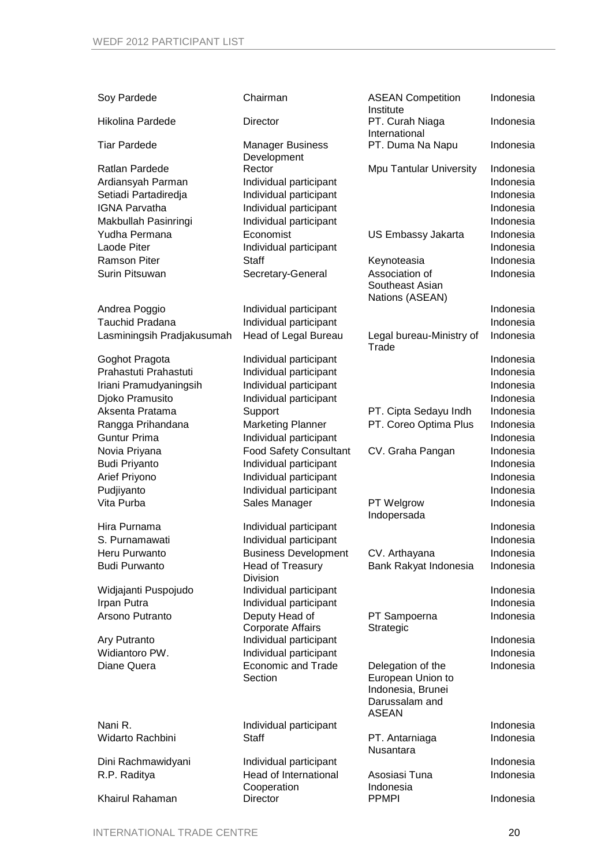| Soy Pardede                | Chairman                                   | <b>ASEAN Competition</b>                                          | Indonesia |
|----------------------------|--------------------------------------------|-------------------------------------------------------------------|-----------|
| <b>Hikolina Pardede</b>    | Director                                   | Institute<br>PT. Curah Niaga                                      | Indonesia |
|                            |                                            | International                                                     |           |
| <b>Tiar Pardede</b>        | <b>Manager Business</b><br>Development     | PT. Duma Na Napu                                                  | Indonesia |
| Ratlan Pardede             | Rector                                     | Mpu Tantular University                                           | Indonesia |
| Ardiansyah Parman          | Individual participant                     |                                                                   | Indonesia |
| Setiadi Partadiredja       | Individual participant                     |                                                                   | Indonesia |
| <b>IGNA Parvatha</b>       | Individual participant                     |                                                                   | Indonesia |
| Makbullah Pasinringi       | Individual participant                     |                                                                   | Indonesia |
| Yudha Permana              | Economist                                  | US Embassy Jakarta                                                | Indonesia |
| Laode Piter                | Individual participant                     |                                                                   | Indonesia |
| <b>Ramson Piter</b>        | <b>Staff</b>                               | Keynoteasia                                                       | Indonesia |
| Surin Pitsuwan             | Secretary-General                          | Association of<br>Southeast Asian<br>Nations (ASEAN)              | Indonesia |
| Andrea Poggio              | Individual participant                     |                                                                   | Indonesia |
| <b>Tauchid Pradana</b>     | Individual participant                     |                                                                   | Indonesia |
| Lasminingsih Pradjakusumah | Head of Legal Bureau                       | Legal bureau-Ministry of<br>Trade                                 | Indonesia |
| Goghot Pragota             | Individual participant                     |                                                                   | Indonesia |
| Prahastuti Prahastuti      | Individual participant                     |                                                                   | Indonesia |
| Iriani Pramudyaningsih     | Individual participant                     |                                                                   | Indonesia |
| Djoko Pramusito            | Individual participant                     |                                                                   | Indonesia |
| Aksenta Pratama            | Support                                    | PT. Cipta Sedayu Indh                                             | Indonesia |
| Rangga Prihandana          | <b>Marketing Planner</b>                   | PT. Coreo Optima Plus                                             | Indonesia |
| <b>Guntur Prima</b>        | Individual participant                     |                                                                   | Indonesia |
| Novia Priyana              | <b>Food Safety Consultant</b>              | CV. Graha Pangan                                                  | Indonesia |
| <b>Budi Priyanto</b>       | Individual participant                     |                                                                   | Indonesia |
| Arief Priyono              | Individual participant                     |                                                                   | Indonesia |
| Pudjiyanto                 | Individual participant                     |                                                                   | Indonesia |
| Vita Purba                 | Sales Manager                              | PT Welgrow<br>Indopersada                                         | Indonesia |
| Hira Purnama               | Individual participant                     |                                                                   | Indonesia |
| S. Purnamawati             | Individual participant                     |                                                                   | Indonesia |
| Heru Purwanto              | <b>Business Development</b>                | CV. Arthayana                                                     | Indonesia |
| <b>Budi Purwanto</b>       | Head of Treasury                           | Bank Rakyat Indonesia                                             | Indonesia |
|                            | <b>Division</b>                            |                                                                   |           |
| Widjajanti Puspojudo       | Individual participant                     |                                                                   | Indonesia |
| Irpan Putra                | Individual participant                     |                                                                   | Indonesia |
| Arsono Putranto            | Deputy Head of<br><b>Corporate Affairs</b> | PT Sampoerna<br>Strategic                                         | Indonesia |
| Ary Putranto               | Individual participant                     |                                                                   | Indonesia |
| Widiantoro PW.             | Individual participant                     |                                                                   | Indonesia |
| Diane Quera                | <b>Economic and Trade</b>                  | Delegation of the                                                 | Indonesia |
|                            | Section                                    | European Union to<br>Indonesia, Brunei<br>Darussalam and<br>ASEAN |           |
| Nani R.                    | Individual participant                     |                                                                   | Indonesia |
| Widarto Rachbini           | Staff                                      | PT. Antarniaga<br>Nusantara                                       | Indonesia |
| Dini Rachmawidyani         | Individual participant                     |                                                                   | Indonesia |
| R.P. Raditya               | Head of International                      | Asosiasi Tuna                                                     | Indonesia |
|                            | Cooperation                                | Indonesia                                                         |           |
| Khairul Rahaman            | Director                                   | <b>PPMPI</b>                                                      | Indonesia |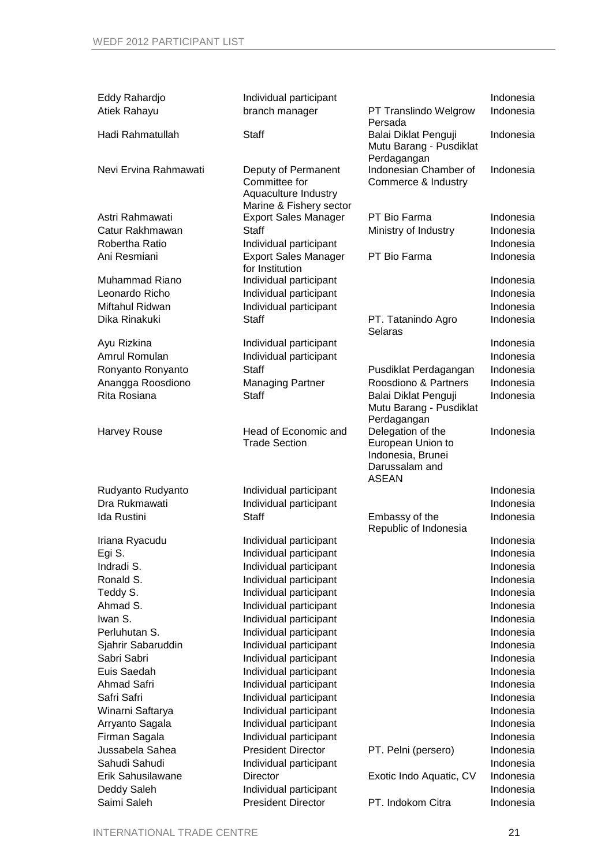| Eddy Rahardjo<br>Atiek Rahayu                                                                                                                                                                                                                                        | Individual participant<br>branch manager                                                                                                                                                                                                                                                                                                                                                                                                                  | PT Translindo Welgrow                                                                                           | Indonesia<br>Indonesia                                                                                                                                                                                                    |
|----------------------------------------------------------------------------------------------------------------------------------------------------------------------------------------------------------------------------------------------------------------------|-----------------------------------------------------------------------------------------------------------------------------------------------------------------------------------------------------------------------------------------------------------------------------------------------------------------------------------------------------------------------------------------------------------------------------------------------------------|-----------------------------------------------------------------------------------------------------------------|---------------------------------------------------------------------------------------------------------------------------------------------------------------------------------------------------------------------------|
| Hadi Rahmatullah                                                                                                                                                                                                                                                     | <b>Staff</b>                                                                                                                                                                                                                                                                                                                                                                                                                                              | Persada<br>Balai Diklat Penguji<br>Mutu Barang - Pusdiklat                                                      | Indonesia                                                                                                                                                                                                                 |
| Nevi Ervina Rahmawati                                                                                                                                                                                                                                                | Deputy of Permanent<br>Committee for<br>Aquaculture Industry<br>Marine & Fishery sector                                                                                                                                                                                                                                                                                                                                                                   | Perdagangan<br>Indonesian Chamber of<br>Commerce & Industry                                                     | Indonesia                                                                                                                                                                                                                 |
| Astri Rahmawati<br>Catur Rakhmawan<br>Robertha Ratio<br>Ani Resmiani                                                                                                                                                                                                 | <b>Export Sales Manager</b><br><b>Staff</b><br>Individual participant<br><b>Export Sales Manager</b><br>for Institution                                                                                                                                                                                                                                                                                                                                   | PT Bio Farma<br>Ministry of Industry<br>PT Bio Farma                                                            | Indonesia<br>Indonesia<br>Indonesia<br>Indonesia                                                                                                                                                                          |
| Muhammad Riano<br>Leonardo Richo<br>Miftahul Ridwan<br>Dika Rinakuki                                                                                                                                                                                                 | Individual participant<br>Individual participant<br>Individual participant<br><b>Staff</b>                                                                                                                                                                                                                                                                                                                                                                | PT. Tatanindo Agro<br>Selaras                                                                                   | Indonesia<br>Indonesia<br>Indonesia<br>Indonesia                                                                                                                                                                          |
| Ayu Rizkina<br>Amrul Romulan<br>Ronyanto Ronyanto<br>Anangga Roosdiono<br>Rita Rosiana                                                                                                                                                                               | Individual participant<br>Individual participant<br>Staff<br><b>Managing Partner</b><br><b>Staff</b>                                                                                                                                                                                                                                                                                                                                                      | Pusdiklat Perdagangan<br>Roosdiono & Partners<br>Balai Diklat Penguji<br>Mutu Barang - Pusdiklat<br>Perdagangan | Indonesia<br>Indonesia<br>Indonesia<br>Indonesia<br>Indonesia                                                                                                                                                             |
| <b>Harvey Rouse</b>                                                                                                                                                                                                                                                  | Head of Economic and<br><b>Trade Section</b>                                                                                                                                                                                                                                                                                                                                                                                                              | Delegation of the<br>European Union to<br>Indonesia, Brunei<br>Darussalam and<br><b>ASEAN</b>                   | Indonesia                                                                                                                                                                                                                 |
| Rudyanto Rudyanto<br>Dra Rukmawati<br>Ida Rustini                                                                                                                                                                                                                    | Individual participant<br>Individual participant<br><b>Staff</b>                                                                                                                                                                                                                                                                                                                                                                                          | Embassy of the                                                                                                  | Indonesia<br>Indonesia<br>Indonesia                                                                                                                                                                                       |
| Iriana Ryacudu<br>Egi S.<br>Indradi S.<br>Ronald S.<br>Teddy S.<br>Ahmad S.<br>Iwan S.<br>Perluhutan S.<br>Sjahrir Sabaruddin<br>Sabri Sabri<br>Euis Saedah<br>Ahmad Safri<br>Safri Safri<br>Winarni Saftarya<br>Arryanto Sagala<br>Firman Sagala<br>Jussabela Sahea | Individual participant<br>Individual participant<br>Individual participant<br>Individual participant<br>Individual participant<br>Individual participant<br>Individual participant<br>Individual participant<br>Individual participant<br>Individual participant<br>Individual participant<br>Individual participant<br>Individual participant<br>Individual participant<br>Individual participant<br>Individual participant<br><b>President Director</b> | Republic of Indonesia<br>PT. Pelni (persero)                                                                    | Indonesia<br>Indonesia<br>Indonesia<br>Indonesia<br>Indonesia<br>Indonesia<br>Indonesia<br>Indonesia<br>Indonesia<br>Indonesia<br>Indonesia<br>Indonesia<br>Indonesia<br>Indonesia<br>Indonesia<br>Indonesia<br>Indonesia |
| Sahudi Sahudi<br>Erik Sahusilawane<br>Deddy Saleh                                                                                                                                                                                                                    | Individual participant<br><b>Director</b><br>Individual participant                                                                                                                                                                                                                                                                                                                                                                                       | Exotic Indo Aquatic, CV                                                                                         | Indonesia<br>Indonesia<br>Indonesia                                                                                                                                                                                       |
| Saimi Saleh                                                                                                                                                                                                                                                          | <b>President Director</b>                                                                                                                                                                                                                                                                                                                                                                                                                                 | PT. Indokom Citra                                                                                               | Indonesia                                                                                                                                                                                                                 |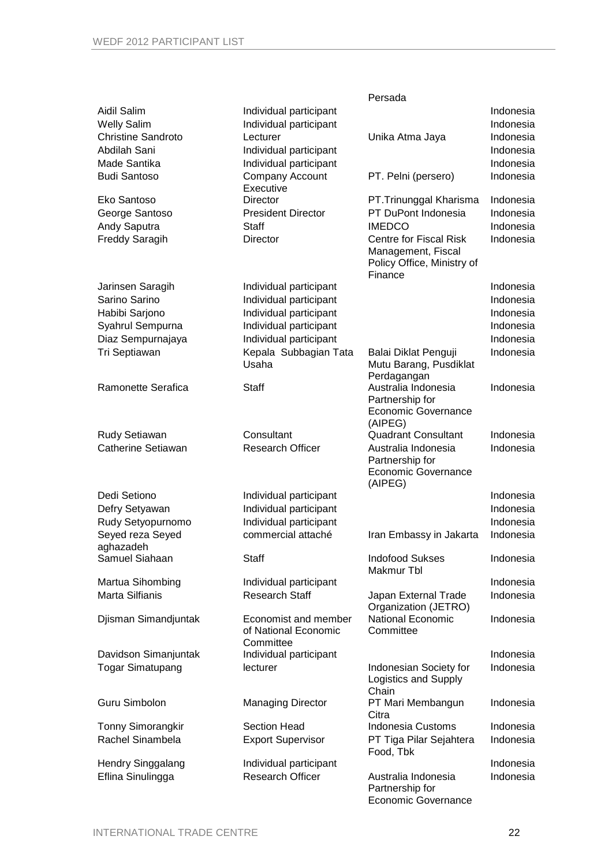|                                   |                                                  | Persada                               |                        |
|-----------------------------------|--------------------------------------------------|---------------------------------------|------------------------|
| Aidil Salim<br><b>Welly Salim</b> | Individual participant<br>Individual participant |                                       | Indonesia<br>Indonesia |
| <b>Christine Sandroto</b>         | Lecturer                                         | Unika Atma Jaya                       | Indonesia              |
| Abdilah Sani                      |                                                  |                                       | Indonesia              |
|                                   | Individual participant                           |                                       |                        |
| Made Santika                      | Individual participant                           |                                       | Indonesia              |
| <b>Budi Santoso</b>               | Company Account<br>Executive                     | PT. Pelni (persero)                   | Indonesia              |
| Eko Santoso                       | <b>Director</b>                                  | PT.Trinunggal Kharisma                | Indonesia              |
| George Santoso                    | <b>President Director</b>                        | PT DuPont Indonesia                   | Indonesia              |
| Andy Saputra                      | Staff                                            | <b>IMEDCO</b>                         | Indonesia              |
| <b>Freddy Saragih</b>             | Director                                         | <b>Centre for Fiscal Risk</b>         | Indonesia              |
|                                   |                                                  | Management, Fiscal                    |                        |
|                                   |                                                  | Policy Office, Ministry of<br>Finance |                        |
| Jarinsen Saragih                  | Individual participant                           |                                       | Indonesia              |
| Sarino Sarino                     | Individual participant                           |                                       | Indonesia              |
| Habibi Sarjono                    | Individual participant                           |                                       | Indonesia              |
| Syahrul Sempurna                  | Individual participant                           |                                       | Indonesia              |
|                                   | Individual participant                           |                                       |                        |
| Diaz Sempurnajaya                 |                                                  |                                       | Indonesia              |
| Tri Septiawan                     | Kepala Subbagian Tata                            | Balai Diklat Penguji                  | Indonesia              |
|                                   | Usaha                                            | Mutu Barang, Pusdiklat                |                        |
| Ramonette Serafica                | Staff                                            | Perdagangan<br>Australia Indonesia    | Indonesia              |
|                                   |                                                  | Partnership for                       |                        |
|                                   |                                                  | Economic Governance                   |                        |
|                                   |                                                  | (AIPEG)                               |                        |
| Rudy Setiawan                     | Consultant                                       | <b>Quadrant Consultant</b>            | Indonesia              |
| Catherine Setiawan                | <b>Research Officer</b>                          | Australia Indonesia                   | Indonesia              |
|                                   |                                                  | Partnership for                       |                        |
|                                   |                                                  | Economic Governance                   |                        |
|                                   |                                                  | (AIPEG)                               |                        |
| Dedi Setiono                      | Individual participant                           |                                       | Indonesia              |
| Defry Setyawan                    | Individual participant                           |                                       | Indonesia              |
| Rudy Setyopurnomo                 | Individual participant                           |                                       | Indonesia              |
| Seyed reza Seyed                  | commercial attaché                               | Iran Embassy in Jakarta               | Indonesia              |
| aghazadeh                         |                                                  |                                       |                        |
| Samuel Siahaan                    | <b>Staff</b>                                     | <b>Indofood Sukses</b>                | Indonesia              |
|                                   |                                                  | Makmur Tbl                            |                        |
| Martua Sihombing                  | Individual participant                           |                                       | Indonesia              |
| Marta Silfianis                   | <b>Research Staff</b>                            | Japan External Trade                  | Indonesia              |
|                                   |                                                  | Organization (JETRO)                  |                        |
| Djisman Simandjuntak              | Economist and member                             | National Economic                     | Indonesia              |
|                                   | of National Economic                             | Committee                             |                        |
|                                   | Committee                                        |                                       |                        |
| Davidson Simanjuntak              | Individual participant                           |                                       | Indonesia              |
| <b>Togar Simatupang</b>           | lecturer                                         | Indonesian Society for                | Indonesia              |
|                                   |                                                  | Logistics and Supply                  |                        |
|                                   |                                                  | Chain                                 |                        |
| Guru Simbolon                     | <b>Managing Director</b>                         | PT Mari Membangun                     | Indonesia              |
|                                   | <b>Section Head</b>                              | Citra<br><b>Indonesia Customs</b>     | Indonesia              |
| <b>Tonny Simorangkir</b>          |                                                  |                                       |                        |
| Rachel Sinambela                  | <b>Export Supervisor</b>                         | PT Tiga Pilar Sejahtera               | Indonesia              |
| <b>Hendry Singgalang</b>          | Individual participant                           | Food, Tbk                             | Indonesia              |
| Eflina Sinulingga                 | <b>Research Officer</b>                          | Australia Indonesia                   | Indonesia              |
|                                   |                                                  | Partnership for                       |                        |
|                                   |                                                  | <b>Economic Governance</b>            |                        |
|                                   |                                                  |                                       |                        |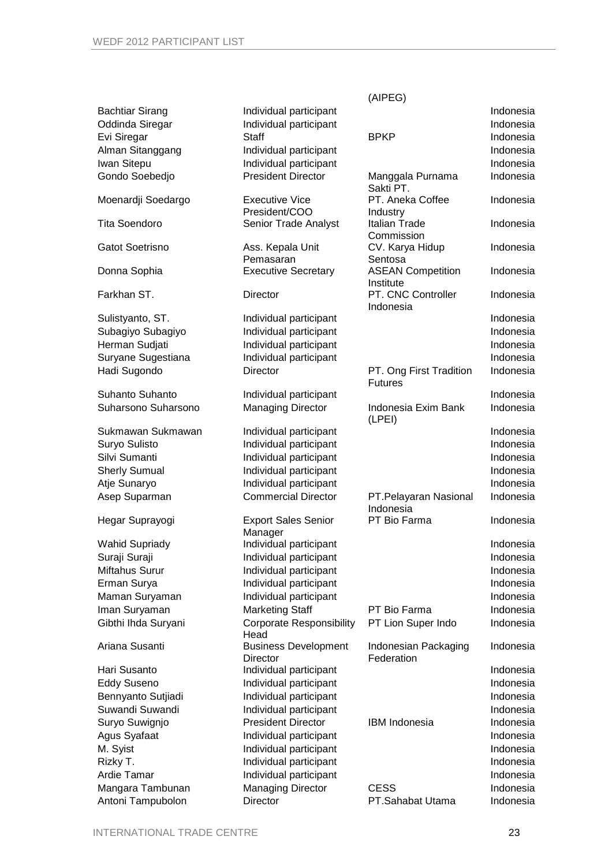|                        |                                         | (AIPEG)                                          |           |
|------------------------|-----------------------------------------|--------------------------------------------------|-----------|
| <b>Bachtiar Sirang</b> | Individual participant                  |                                                  | Indonesia |
| Oddinda Siregar        | Individual participant                  |                                                  | Indonesia |
| Evi Siregar            | <b>Staff</b>                            | <b>BPKP</b>                                      | Indonesia |
| Alman Sitanggang       | Individual participant                  |                                                  | Indonesia |
| Iwan Sitepu            | Individual participant                  |                                                  | Indonesia |
| Gondo Soebedjo         | <b>President Director</b>               | Manggala Purnama<br>Sakti PT.                    | Indonesia |
| Moenardji Soedargo     | <b>Executive Vice</b><br>President/COO  | PT. Aneka Coffee<br>Industry                     | Indonesia |
| <b>Tita Soendoro</b>   | Senior Trade Analyst                    | Italian Trade<br>Commission                      | Indonesia |
| Gatot Soetrisno        | Ass. Kepala Unit<br>Pemasaran           | CV. Karya Hidup                                  | Indonesia |
| Donna Sophia           | <b>Executive Secretary</b>              | Sentosa<br><b>ASEAN Competition</b><br>Institute | Indonesia |
| Farkhan ST.            | <b>Director</b>                         | PT. CNC Controller<br>Indonesia                  | Indonesia |
| Sulistyanto, ST.       | Individual participant                  |                                                  | Indonesia |
| Subagiyo Subagiyo      | Individual participant                  |                                                  | Indonesia |
| Herman Sudjati         | Individual participant                  |                                                  | Indonesia |
| Suryane Sugestiana     | Individual participant                  |                                                  | Indonesia |
| Hadi Sugondo           | <b>Director</b>                         | PT. Ong First Tradition<br><b>Futures</b>        | Indonesia |
| Suhanto Suhanto        | Individual participant                  |                                                  | Indonesia |
| Suharsono Suharsono    | <b>Managing Director</b>                | Indonesia Exim Bank<br>(LPEI)                    | Indonesia |
| Sukmawan Sukmawan      | Individual participant                  |                                                  | Indonesia |
| Suryo Sulisto          | Individual participant                  |                                                  | Indonesia |
| Silvi Sumanti          | Individual participant                  |                                                  | Indonesia |
| <b>Sherly Sumual</b>   | Individual participant                  |                                                  | Indonesia |
| Atje Sunaryo           | Individual participant                  |                                                  | Indonesia |
| Asep Suparman          | <b>Commercial Director</b>              | PT.Pelayaran Nasional<br>Indonesia               | Indonesia |
| Hegar Suprayogi        | <b>Export Sales Senior</b><br>Manager   | PT Bio Farma                                     | Indonesia |
| <b>Wahid Supriady</b>  | Individual participant                  |                                                  | Indonesia |
| Suraji Suraji          | Individual participant                  |                                                  | Indonesia |
| Miftahus Surur         | Individual participant                  |                                                  | Indonesia |
| Erman Surya            | Individual participant                  |                                                  | Indonesia |
| Maman Suryaman         | Individual participant                  |                                                  | Indonesia |
| Iman Suryaman          | <b>Marketing Staff</b>                  | PT Bio Farma                                     | Indonesia |
| Gibthi Ihda Suryani    | <b>Corporate Responsibility</b><br>Head | PT Lion Super Indo                               | Indonesia |
| Ariana Susanti         | <b>Business Development</b><br>Director | Indonesian Packaging<br>Federation               | Indonesia |
| Hari Susanto           | Individual participant                  |                                                  | Indonesia |
| <b>Eddy Suseno</b>     | Individual participant                  |                                                  | Indonesia |
| Bennyanto Sutjiadi     | Individual participant                  |                                                  | Indonesia |
| Suwandi Suwandi        | Individual participant                  |                                                  | Indonesia |
| Suryo Suwignjo         | <b>President Director</b>               | <b>IBM</b> Indonesia                             | Indonesia |
| Agus Syafaat           | Individual participant                  |                                                  | Indonesia |
| M. Syist               | Individual participant                  |                                                  | Indonesia |
| Rizky T.               | Individual participant                  |                                                  | Indonesia |
| Ardie Tamar            | Individual participant                  |                                                  | Indonesia |
| Mangara Tambunan       | <b>Managing Director</b>                | <b>CESS</b>                                      | Indonesia |
| Antoni Tampubolon      | Director                                | PT.Sahabat Utama                                 | Indonesia |
|                        |                                         |                                                  |           |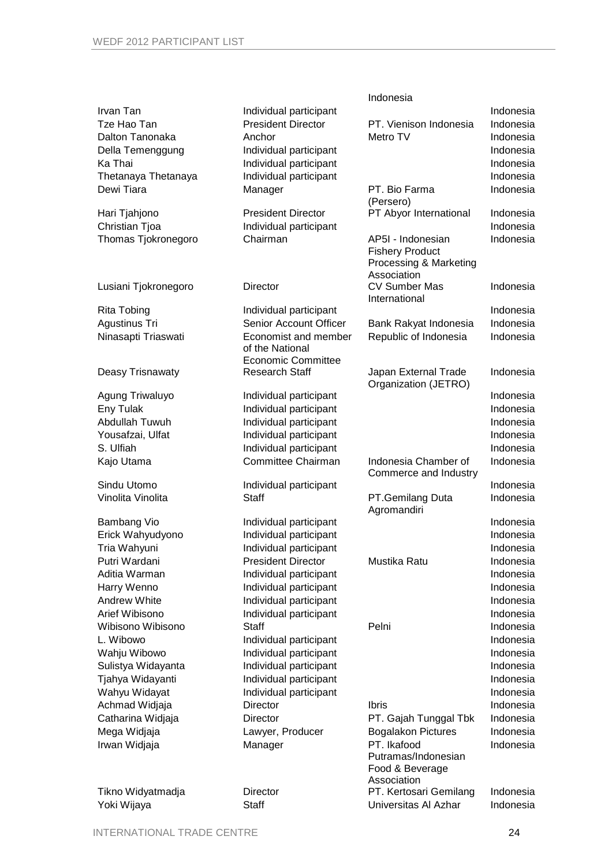|                      |                           | Indonesia                                     |           |
|----------------------|---------------------------|-----------------------------------------------|-----------|
| Irvan Tan            | Individual participant    |                                               | Indonesia |
| Tze Hao Tan          | <b>President Director</b> | PT. Vienison Indonesia                        | Indonesia |
| Dalton Tanonaka      | Anchor                    | Metro TV                                      | Indonesia |
| Della Temenggung     | Individual participant    |                                               | Indonesia |
| Ka Thai              | Individual participant    |                                               | Indonesia |
| Thetanaya Thetanaya  | Individual participant    |                                               | Indonesia |
| Dewi Tiara           | Manager                   | PT. Bio Farma                                 | Indonesia |
|                      |                           | (Persero)                                     |           |
| Hari Tjahjono        | <b>President Director</b> | PT Abyor International                        | Indonesia |
| Christian Tjoa       | Individual participant    |                                               | Indonesia |
| Thomas Tjokronegoro  | Chairman                  | AP5I - Indonesian                             | Indonesia |
|                      |                           | <b>Fishery Product</b>                        |           |
|                      |                           | Processing & Marketing<br>Association         |           |
| Lusiani Tjokronegoro | <b>Director</b>           | <b>CV Sumber Mas</b>                          | Indonesia |
|                      |                           | International                                 |           |
| <b>Rita Tobing</b>   | Individual participant    |                                               | Indonesia |
| Agustinus Tri        | Senior Account Officer    | Bank Rakyat Indonesia                         | Indonesia |
| Ninasapti Triaswati  | Economist and member      | Republic of Indonesia                         | Indonesia |
|                      | of the National           |                                               |           |
|                      | <b>Economic Committee</b> |                                               |           |
| Deasy Trisnawaty     | <b>Research Staff</b>     | Japan External Trade                          | Indonesia |
|                      |                           | Organization (JETRO)                          |           |
| Agung Triwaluyo      | Individual participant    |                                               | Indonesia |
| Eny Tulak            | Individual participant    |                                               | Indonesia |
| Abdullah Tuwuh       | Individual participant    |                                               | Indonesia |
| Yousafzai, Ulfat     | Individual participant    |                                               | Indonesia |
| S. Ulfiah            | Individual participant    |                                               | Indonesia |
| Kajo Utama           | Committee Chairman        | Indonesia Chamber of<br>Commerce and Industry | Indonesia |
| Sindu Utomo          | Individual participant    |                                               | Indonesia |
| Vinolita Vinolita    | Staff                     | PT.Gemilang Duta<br>Agromandiri               | Indonesia |
| <b>Bambang Vio</b>   | Individual participant    |                                               | Indonesia |
| Erick Wahyudyono     | Individual participant    |                                               | Indonesia |
| Tria Wahyuni         | Individual participant    |                                               | Indonesia |
| Putri Wardani        | <b>President Director</b> | Mustika Ratu                                  | Indonesia |
| Aditia Warman        | Individual participant    |                                               | Indonesia |
| Harry Wenno          | Individual participant    |                                               | Indonesia |
| Andrew White         | Individual participant    |                                               | Indonesia |
| Arief Wibisono       | Individual participant    |                                               | Indonesia |
| Wibisono Wibisono    | <b>Staff</b>              | Pelni                                         | Indonesia |
| L. Wibowo            | Individual participant    |                                               | Indonesia |
| Wahju Wibowo         | Individual participant    |                                               | Indonesia |
| Sulistya Widayanta   | Individual participant    |                                               | Indonesia |
| Tjahya Widayanti     | Individual participant    |                                               | Indonesia |
| Wahyu Widayat        | Individual participant    |                                               | Indonesia |
| Achmad Widjaja       | Director                  | <b>Ibris</b>                                  | Indonesia |
| Catharina Widjaja    | Director                  | PT. Gajah Tunggal Tbk                         | Indonesia |
| Mega Widjaja         | Lawyer, Producer          | <b>Bogalakon Pictures</b>                     | Indonesia |
| Irwan Widjaja        | Manager                   | PT. Ikafood                                   | Indonesia |
|                      |                           | Putramas/Indonesian                           |           |
|                      |                           | Food & Beverage                               |           |
|                      |                           | Association                                   |           |
| Tikno Widyatmadja    | Director                  | PT. Kertosari Gemilang                        | Indonesia |
| Yoki Wijaya          | <b>Staff</b>              | Universitas Al Azhar                          | Indonesia |